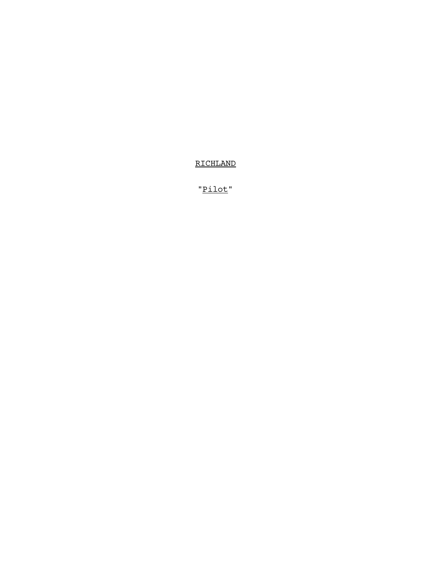RICHLAND

"Pilot"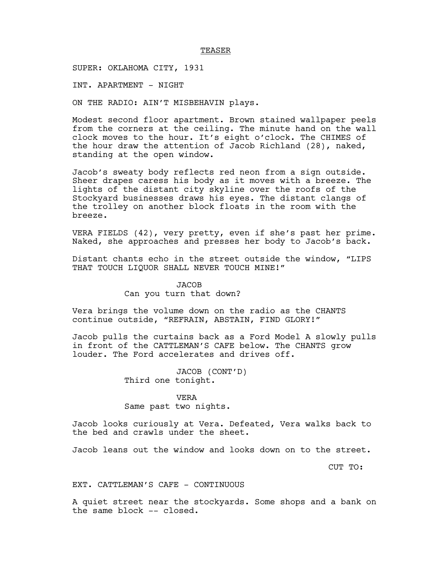#### TEASER

SUPER: OKLAHOMA CITY, 1931

INT. APARTMENT - NIGHT

ON THE RADIO: AIN'T MISBEHAVIN plays.

Modest second floor apartment. Brown stained wallpaper peels from the corners at the ceiling. The minute hand on the wall clock moves to the hour. It's eight o'clock. The CHIMES of the hour draw the attention of Jacob Richland (28), naked, standing at the open window.

Jacob's sweaty body reflects red neon from a sign outside. Sheer drapes caress his body as it moves with a breeze. The lights of the distant city skyline over the roofs of the Stockyard businesses draws his eyes. The distant clangs of the trolley on another block floats in the room with the breeze.

VERA FIELDS (42), very pretty, even if she's past her prime. Naked, she approaches and presses her body to Jacob's back.

Distant chants echo in the street outside the window, "LIPS THAT TOUCH LIOUOR SHALL NEVER TOUCH MINE!"

> JACOB Can you turn that down?

Vera brings the volume down on the radio as the CHANTS continue outside, "REFRAIN, ABSTAIN, FIND GLORY!"

Jacob pulls the curtains back as a Ford Model A slowly pulls in front of the CATTLEMAN'S CAFE below. The CHANTS grow louder. The Ford accelerates and drives off.

> JACOB (CONT'D) Third one tonight.

## VERA

Same past two nights.

Jacob looks curiously at Vera. Defeated, Vera walks back to the bed and crawls under the sheet.

Jacob leans out the window and looks down on to the street.

CUT TO:

### EXT. CATTLEMAN'S CAFE - CONTINUOUS

A quiet street near the stockyards. Some shops and a bank on the same block -- closed.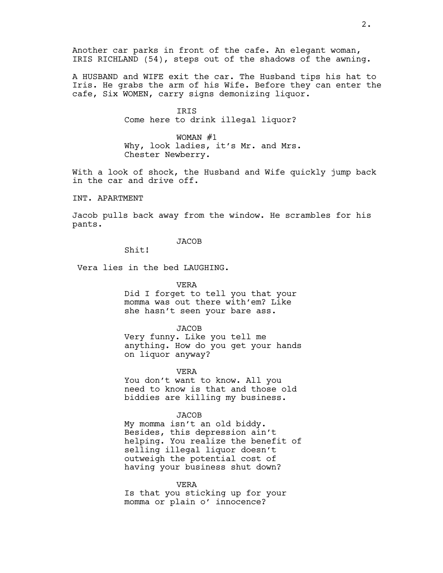Another car parks in front of the cafe. An elegant woman, IRIS RICHLAND (54), steps out of the shadows of the awning.

A HUSBAND and WIFE exit the car. The Husband tips his hat to Iris. He grabs the arm of his Wife. Before they can enter the cafe, Six WOMEN, carry signs demonizing liquor.

> IRIS Come here to drink illegal liquor?

WOMAN #1 Why, look ladies, it's Mr. and Mrs. Chester Newberry.

With a look of shock, the Husband and Wife quickly jump back in the car and drive off.

INT. APARTMENT

Jacob pulls back away from the window. He scrambles for his pants.

JACOB

Shit!

Vera lies in the bed LAUGHING.

VERA

Did I forget to tell you that your momma was out there with'em? Like she hasn't seen your bare ass.

JACOB

Very funny. Like you tell me anything. How do you get your hands on liquor anyway?

VERA

You don't want to know. All you need to know is that and those old biddies are killing my business.

**JACOB** 

My momma isn't an old biddy. Besides, this depression ain't helping. You realize the benefit of selling illegal liquor doesn't outweigh the potential cost of having your business shut down?

VERA

Is that you sticking up for your momma or plain o' innocence?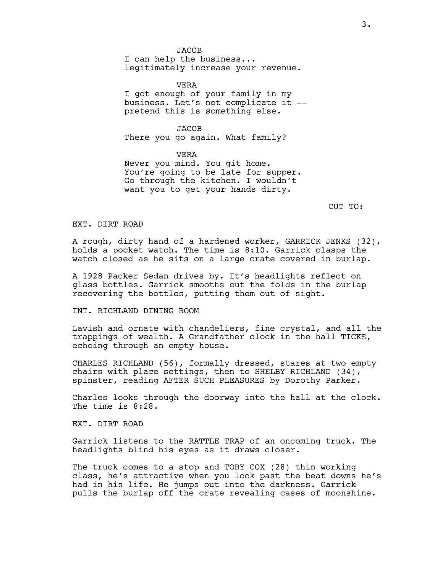JACOB

I can help the business... legitimately increase your revenue.

VERA I got enough of your family in my business. Let's not complicate it - pretend this is something else.

JACOB There you go again. What family?

VERA Never you mind. You git home. You're going to be late for supper. Go through the kitchen. I wouldn't want you to get your hands dirty.

CUT TO:

EXT. DIRT ROAD

A rough, dirty hand of a hardened worker, GARRICK JENKS (32), holds a pocket watch. The time is 8:10. Garrick clasps the watch closed as he sits on a large crate covered in burlap.

A 1928 Packer Sedan drives by. It's headlights reflect on glass bottles. Garrick smooths out the folds in the burlap recovering the bottles, putting them out of sight.

INT. RICHLAND DINING ROOM

Lavish and ornate with chandeliers, fine crystal, and all the trappings of wealth. A Grandfather clock in the hall TICKS, echoing through an empty house.

CHARLES RICHLAND (56), formally dressed, stares at two empty chairs with place settings, then to SHELBY RICHLAND (34), spinster, reading AFTER SUCH PLEASURES by Dorothy Parker.

Charles looks through the doorway into the hall at the clock. The time is 8:28.

EXT. DIRT ROAD

Garrick listens to the RATTLE TRAP of an oncoming truck. The headlights blind his eyes as it draws closer.

The truck comes to a stop and TOBY COX (28) thin working class, he's attractive when you look past the beat downs he's had in his life. He jumps out into the darkness. Garrick pulls the burlap off the crate revealing cases of moonshine.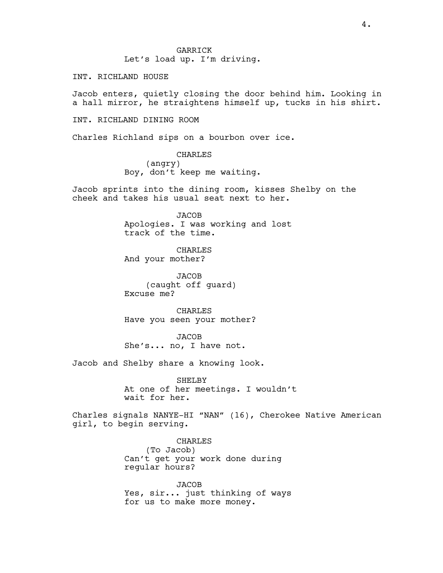GARRICK Let's load up. I'm driving.

INT. RICHLAND HOUSE

Jacob enters, quietly closing the door behind him. Looking in a hall mirror, he straightens himself up, tucks in his shirt.

INT. RICHLAND DINING ROOM

Charles Richland sips on a bourbon over ice.

CHARLES (angry) Boy, don't keep me waiting.

Jacob sprints into the dining room, kisses Shelby on the cheek and takes his usual seat next to her.

> JACOB Apologies. I was working and lost track of the time.

CHARLES And your mother?

JACOB (caught off guard) Excuse me?

CHARLES Have you seen your mother?

**JACOB** She's... no, I have not.

Jacob and Shelby share a knowing look.

SHELBY At one of her meetings. I wouldn't wait for her.

Charles signals NANYE-HI "NAN" (16), Cherokee Native American girl, to begin serving.

> CHARLES (To Jacob) Can't get your work done during regular hours?

JACOB Yes, sir... just thinking of ways for us to make more money.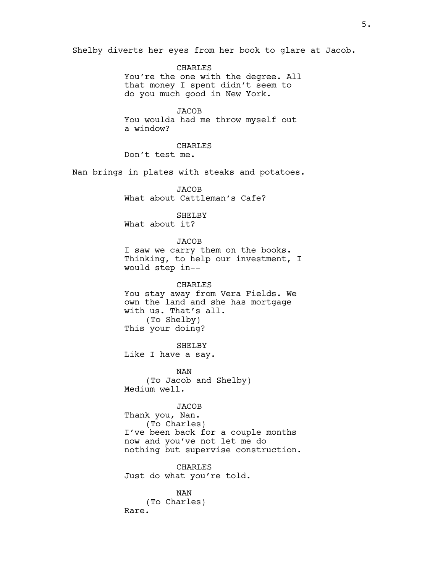Shelby diverts her eyes from her book to glare at Jacob.

CHARLES You're the one with the degree. All that money I spent didn't seem to do you much good in New York.

**JACOB** You woulda had me throw myself out a window?

CHARLES Don't test me.

Nan brings in plates with steaks and potatoes.

JACOB What about Cattleman's Cafe?

## SHELBY What about it?

JACOB

I saw we carry them on the books. Thinking, to help our investment, I would step in--

CHARLES You stay away from Vera Fields. We own the land and she has mortgage with us. That's all. (To Shelby) This your doing?

SHELBY

Like I have a say.

NAN (To Jacob and Shelby) Medium well.

# JACOB

Thank you, Nan. (To Charles) I've been back for a couple months now and you've not let me do nothing but supervise construction.

CHARLES Just do what you're told.

NAN (To Charles) Rare.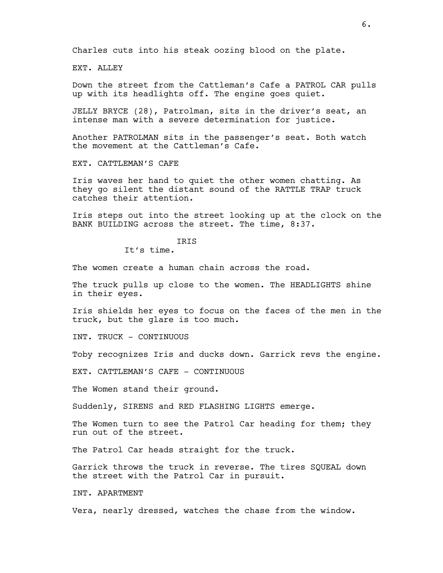Charles cuts into his steak oozing blood on the plate.

EXT. ALLEY

Down the street from the Cattleman's Cafe a PATROL CAR pulls up with its headlights off. The engine goes quiet.

JELLY BRYCE (28), Patrolman, sits in the driver's seat, an intense man with a severe determination for justice.

Another PATROLMAN sits in the passenger's seat. Both watch the movement at the Cattleman's Cafe.

EXT. CATTLEMAN'S CAFE

Iris waves her hand to quiet the other women chatting. As they go silent the distant sound of the RATTLE TRAP truck catches their attention.

Iris steps out into the street looking up at the clock on the BANK BUILDING across the street. The time, 8:37.

IRIS

It's time.

The women create a human chain across the road.

The truck pulls up close to the women. The HEADLIGHTS shine in their eyes.

Iris shields her eyes to focus on the faces of the men in the truck, but the glare is too much.

INT. TRUCK - CONTINUOUS

Toby recognizes Iris and ducks down. Garrick revs the engine.

EXT. CATTLEMAN'S CAFE - CONTINUOUS

The Women stand their ground.

Suddenly, SIRENS and RED FLASHING LIGHTS emerge.

The Women turn to see the Patrol Car heading for them; they run out of the street.

The Patrol Car heads straight for the truck.

Garrick throws the truck in reverse. The tires SQUEAL down the street with the Patrol Car in pursuit.

INT. APARTMENT

Vera, nearly dressed, watches the chase from the window.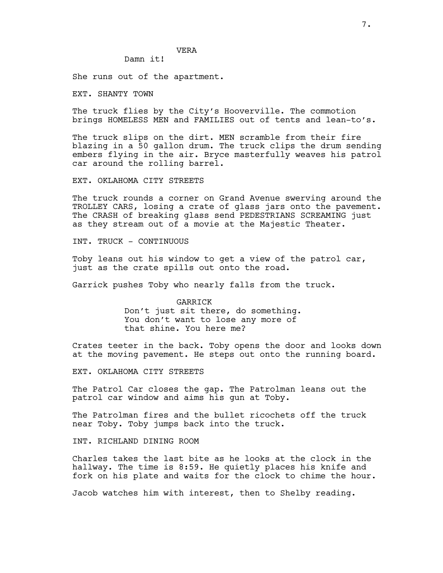Damn it!

She runs out of the apartment.

EXT. SHANTY TOWN

The truck flies by the City's Hooverville. The commotion brings HOMELESS MEN and FAMILIES out of tents and lean-to's.

The truck slips on the dirt. MEN scramble from their fire blazing in a 50 gallon drum. The truck clips the drum sending embers flying in the air. Bryce masterfully weaves his patrol car around the rolling barrel.

EXT. OKLAHOMA CITY STREETS

The truck rounds a corner on Grand Avenue swerving around the TROLLEY CARS, losing a crate of glass jars onto the pavement. The CRASH of breaking glass send PEDESTRIANS SCREAMING just as they stream out of a movie at the Majestic Theater.

INT. TRUCK - CONTINUOUS

Toby leans out his window to get a view of the patrol car, just as the crate spills out onto the road.

Garrick pushes Toby who nearly falls from the truck.

GARRICK Don't just sit there, do something. You don't want to lose any more of that shine. You here me?

Crates teeter in the back. Toby opens the door and looks down at the moving pavement. He steps out onto the running board.

EXT. OKLAHOMA CITY STREETS

The Patrol Car closes the gap. The Patrolman leans out the patrol car window and aims his gun at Toby.

The Patrolman fires and the bullet ricochets off the truck near Toby. Toby jumps back into the truck.

INT. RICHLAND DINING ROOM

Charles takes the last bite as he looks at the clock in the hallway. The time is 8:59. He quietly places his knife and fork on his plate and waits for the clock to chime the hour.

Jacob watches him with interest, then to Shelby reading.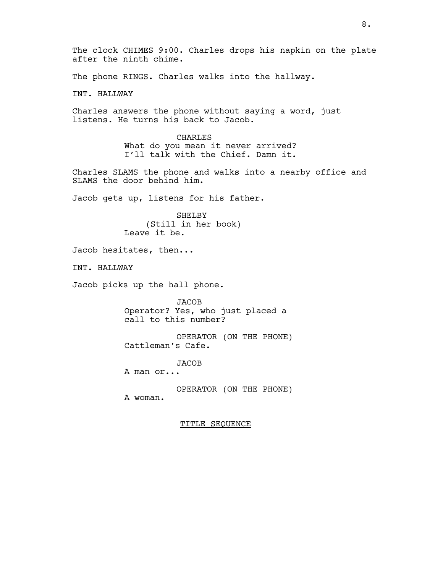The clock CHIMES 9:00. Charles drops his napkin on the plate after the ninth chime. The phone RINGS. Charles walks into the hallway. INT. HALLWAY Charles answers the phone without saying a word, just listens. He turns his back to Jacob. CHARLES What do you mean it never arrived? I'll talk with the Chief. Damn it. Charles SLAMS the phone and walks into a nearby office and SLAMS the door behind him. Jacob gets up, listens for his father. SHELBY (Still in her book) Leave it be. Jacob hesitates, then... INT. HALLWAY Jacob picks up the hall phone. JACOB Operator? Yes, who just placed a call to this number? OPERATOR (ON THE PHONE) Cattleman's Cafe. **JACOB** A man or... OPERATOR (ON THE PHONE) A woman. TITLE SEQUENCE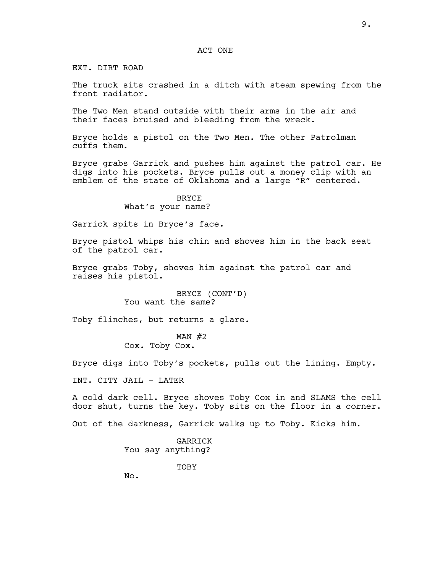EXT. DIRT ROAD

The truck sits crashed in a ditch with steam spewing from the front radiator.

The Two Men stand outside with their arms in the air and their faces bruised and bleeding from the wreck.

Bryce holds a pistol on the Two Men. The other Patrolman cuffs them.

Bryce grabs Garrick and pushes him against the patrol car. He digs into his pockets. Bryce pulls out a money clip with an emblem of the state of Oklahoma and a large "R" centered.

# BRYCE What's your name?

Garrick spits in Bryce's face.

Bryce pistol whips his chin and shoves him in the back seat of the patrol car.

Bryce grabs Toby, shoves him against the patrol car and raises his pistol.

> BRYCE (CONT'D) You want the same?

Toby flinches, but returns a glare.

## MAN  $#2$ Cox. Toby Cox.

Bryce digs into Toby's pockets, pulls out the lining. Empty.

INT. CITY JAIL - LATER

A cold dark cell. Bryce shoves Toby Cox in and SLAMS the cell door shut, turns the key. Toby sits on the floor in a corner.

Out of the darkness, Garrick walks up to Toby. Kicks him.

GARRICK You say anything?

TOBY

No.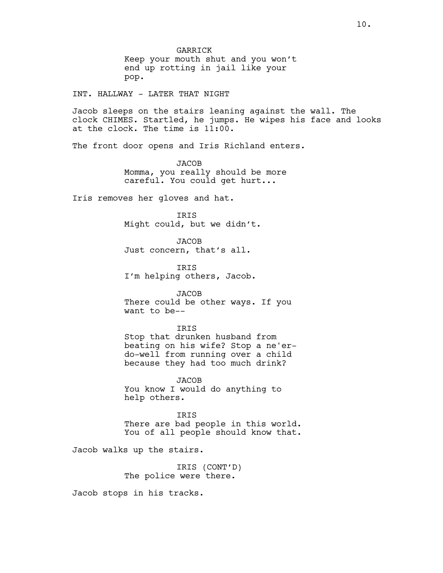GARRICK Keep your mouth shut and you won't end up rotting in jail like your pop.

INT. HALLWAY - LATER THAT NIGHT

Jacob sleeps on the stairs leaning against the wall. The clock CHIMES. Startled, he jumps. He wipes his face and looks at the clock. The time is 11:00.

The front door opens and Iris Richland enters.

JACOB Momma, you really should be more careful. You could get hurt...

Iris removes her gloves and hat.

IRIS Might could, but we didn't.

JACOB Just concern, that's all.

IRIS I'm helping others, Jacob.

**JACOB** There could be other ways. If you want to be--

**TRTS** Stop that drunken husband from beating on his wife? Stop a ne'erdo-well from running over a child because they had too much drink?

JACOB You know I would do anything to help others.

IRIS There are bad people in this world. You of all people should know that.

Jacob walks up the stairs.

IRIS (CONT'D) The police were there.

Jacob stops in his tracks.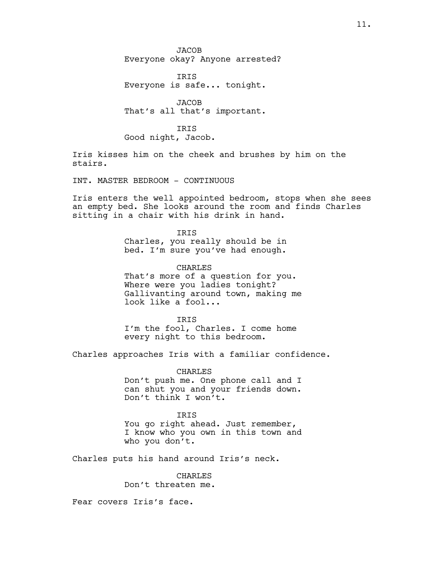JACOB Everyone okay? Anyone arrested?

IRIS Everyone is safe... tonight.

JACOB That's all that's important.

**TRTS** Good night, Jacob.

Iris kisses him on the cheek and brushes by him on the stairs.

INT. MASTER BEDROOM - CONTINUOUS

Iris enters the well appointed bedroom, stops when she sees an empty bed. She looks around the room and finds Charles sitting in a chair with his drink in hand.

> IRIS Charles, you really should be in bed. I'm sure you've had enough.

CHARLES That's more of a question for you. Where were you ladies tonight? Gallivanting around town, making me look like a fool...

**TRTS** I'm the fool, Charles. I come home every night to this bedroom.

Charles approaches Iris with a familiar confidence.

CHARLES Don't push me. One phone call and I can shut you and your friends down. Don't think I won't.

### IRIS

You go right ahead. Just remember, I know who you own in this town and who you don't.

Charles puts his hand around Iris's neck.

CHARLES Don't threaten me.

Fear covers Iris's face.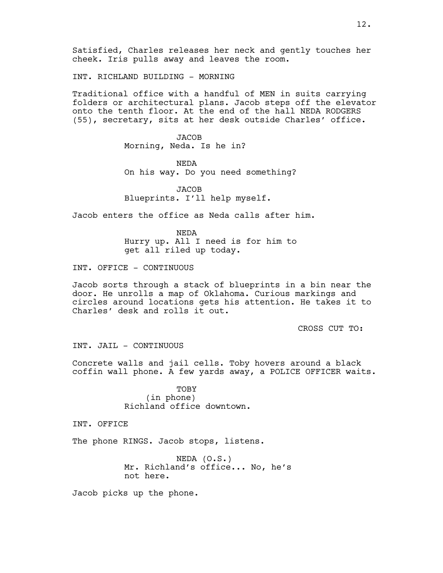Satisfied, Charles releases her neck and gently touches her cheek. Iris pulls away and leaves the room.

INT. RICHLAND BUILDING - MORNING

Traditional office with a handful of MEN in suits carrying folders or architectural plans. Jacob steps off the elevator onto the tenth floor. At the end of the hall NEDA RODGERS (55), secretary, sits at her desk outside Charles' office.

> JACOB Morning, Neda. Is he in?

NEDA On his way. Do you need something?

JACOB Blueprints. I'll help myself.

Jacob enters the office as Neda calls after him.

NEDA Hurry up. All I need is for him to get all riled up today.

INT. OFFICE - CONTINUOUS

Jacob sorts through a stack of blueprints in a bin near the door. He unrolls a map of Oklahoma. Curious markings and circles around locations gets his attention. He takes it to Charles' desk and rolls it out.

CROSS CUT TO:

INT. JAIL - CONTINUOUS

Concrete walls and jail cells. Toby hovers around a black coffin wall phone. A few yards away, a POLICE OFFICER waits.

> TOBY (in phone) Richland office downtown.

INT. OFFICE

The phone RINGS. Jacob stops, listens.

NEDA (O.S.) Mr. Richland's office... No, he's not here.

Jacob picks up the phone.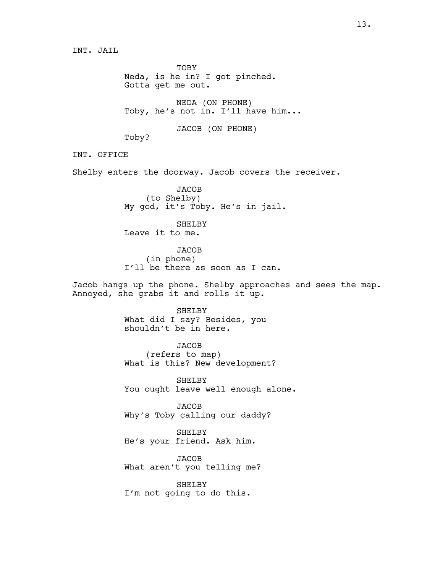INT. JAIL

TOBY Neda, is he in? I got pinched. Gotta get me out.

NEDA (ON PHONE) Toby, he's not in. I'll have him...

JACOB (ON PHONE)

Toby?

INT. OFFICE

Shelby enters the doorway. Jacob covers the receiver.

**JACOB** (to Shelby) My god, it's Toby. He's in jail.

SHELBY Leave it to me.

**JACOB** (in phone) I'll be there as soon as I can.

Jacob hangs up the phone. Shelby approaches and sees the map. Annoyed, she grabs it and rolls it up.

> SHELBY What did I say? Besides, you shouldn't be in here.

**JACOB** (refers to map) What is this? New development?

SHELBY You ought leave well enough alone.

JACOB Why's Toby calling our daddy?

SHELBY He's your friend. Ask him.

JACOB What aren't you telling me?

SHELBY I'm not going to do this.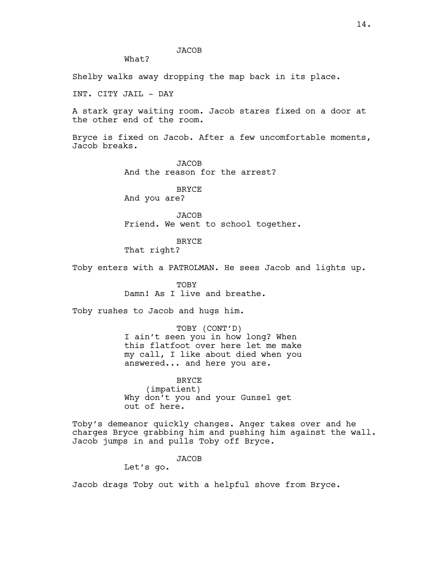**JACOB** 

What?

Shelby walks away dropping the map back in its place.

INT. CITY JAIL - DAY

A stark gray waiting room. Jacob stares fixed on a door at the other end of the room.

Bryce is fixed on Jacob. After a few uncomfortable moments, Jacob breaks.

> JACOB And the reason for the arrest?

**BRYCE** And you are?

JACOB Friend. We went to school together.

BRYCE

That right?

Toby enters with a PATROLMAN. He sees Jacob and lights up.

TOBY Damn! As I live and breathe.

Toby rushes to Jacob and hugs him.

TOBY (CONT'D) I ain't seen you in how long? When this flatfoot over here let me make my call, I like about died when you answered... and here you are.

BRYCE (impatient) Why don't you and your Gunsel get out of here.

Toby's demeanor quickly changes. Anger takes over and he charges Bryce grabbing him and pushing him against the wall. Jacob jumps in and pulls Toby off Bryce.

JACOB

Let's go.

Jacob drags Toby out with a helpful shove from Bryce.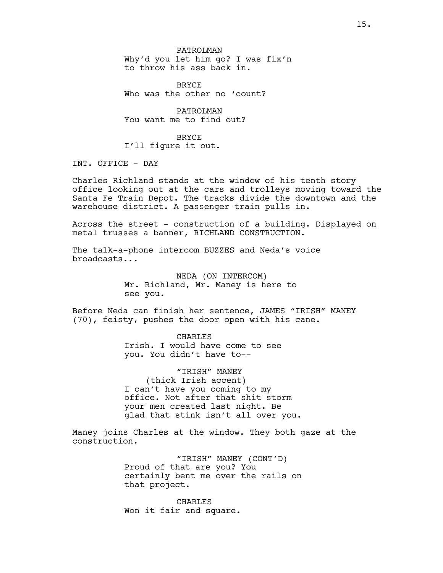PATROLMAN Why'd you let him go? I was fix'n to throw his ass back in.

**BRYCE** Who was the other no 'count?

PATROLMAN You want me to find out?

BRYCE I'll figure it out.

INT. OFFICE - DAY

Charles Richland stands at the window of his tenth story office looking out at the cars and trolleys moving toward the Santa Fe Train Depot. The tracks divide the downtown and the warehouse district. A passenger train pulls in.

Across the street - construction of a building. Displayed on metal trusses a banner, RICHLAND CONSTRUCTION.

The talk-a-phone intercom BUZZES and Neda's voice broadcasts...

> NEDA (ON INTERCOM) Mr. Richland, Mr. Maney is here to see you.

Before Neda can finish her sentence, JAMES "IRISH" MANEY (70), feisty, pushes the door open with his cane.

> CHARLES Irish. I would have come to see you. You didn't have to--

"IRISH" MANEY (thick Irish accent) I can't have you coming to my office. Not after that shit storm your men created last night. Be glad that stink isn't all over you.

Maney joins Charles at the window. They both gaze at the construction.

> "IRISH" MANEY (CONT'D) Proud of that are you? You certainly bent me over the rails on that project.

CHARLES Won it fair and square.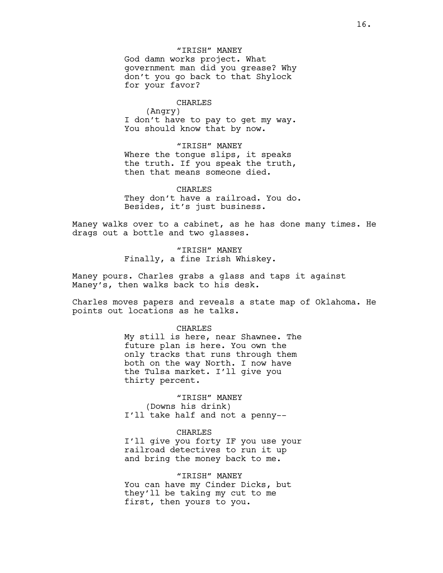"IRISH" MANEY God damn works project. What government man did you grease? Why don't you go back to that Shylock for your favor?

#### CHARLES

(Angry) I don't have to pay to get my way. You should know that by now.

"IRISH" MANEY Where the tongue slips, it speaks the truth. If you speak the truth, then that means someone died.

CHARLES They don't have a railroad. You do. Besides, it's just business.

Maney walks over to a cabinet, as he has done many times. He drags out a bottle and two glasses.

> "IRISH" MANEY Finally, a fine Irish Whiskey.

Maney pours. Charles grabs a glass and taps it against Maney's, then walks back to his desk.

Charles moves papers and reveals a state map of Oklahoma. He points out locations as he talks.

### CHARLES

My still is here, near Shawnee. The future plan is here. You own the only tracks that runs through them both on the way North. I now have the Tulsa market. I'll give you thirty percent.

"IRISH" MANEY (Downs his drink) I'll take half and not a penny--

## CHARLES

I'll give you forty IF you use your railroad detectives to run it up and bring the money back to me.

"IRISH" MANEY

You can have my Cinder Dicks, but they'll be taking my cut to me first, then yours to you.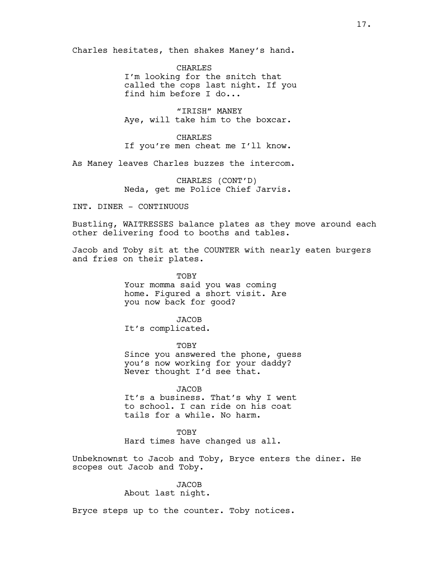Charles hesitates, then shakes Maney's hand.

CHARLES I'm looking for the snitch that called the cops last night. If you find him before I do...

"IRISH" MANEY Aye, will take him to the boxcar.

CHARLES If you're men cheat me I'll know.

As Maney leaves Charles buzzes the intercom.

CHARLES (CONT'D) Neda, get me Police Chief Jarvis.

INT. DINER - CONTINUOUS

Bustling, WAITRESSES balance plates as they move around each other delivering food to booths and tables.

Jacob and Toby sit at the COUNTER with nearly eaten burgers and fries on their plates.

> TOBY Your momma said you was coming home. Figured a short visit. Are you now back for good?

JACOB It's complicated.

TOBY Since you answered the phone, guess you's now working for your daddy? Never thought I'd see that.

**JACOB** It's a business. That's why I went to school. I can ride on his coat tails for a while. No harm.

TOBY Hard times have changed us all.

Unbeknownst to Jacob and Toby, Bryce enters the diner. He scopes out Jacob and Toby.

**JACOB** 

About last night.

Bryce steps up to the counter. Toby notices.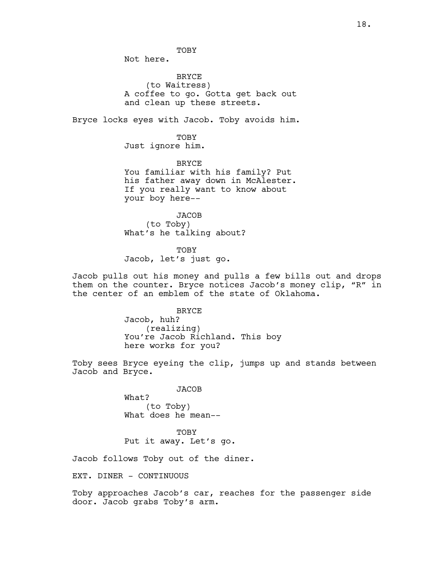Not here.

BRYCE (to Waitress) A coffee to go. Gotta get back out and clean up these streets.

Bryce locks eyes with Jacob. Toby avoids him.

TOBY Just ignore him.

BRYCE You familiar with his family? Put his father away down in McAlester. If you really want to know about your boy here--

JACOB (to Toby) What's he talking about?

TOBY Jacob, let's just go.

Jacob pulls out his money and pulls a few bills out and drops them on the counter. Bryce notices Jacob's money clip, "R" in the center of an emblem of the state of Oklahoma.

> BRYCE Jacob, huh? (realizing) You're Jacob Richland. This boy here works for you?

Toby sees Bryce eyeing the clip, jumps up and stands between Jacob and Bryce.

**JACOB** 

What? (to Toby) What does he mean--

TOBY Put it away. Let's go.

Jacob follows Toby out of the diner.

EXT. DINER - CONTINUOUS

Toby approaches Jacob's car, reaches for the passenger side door. Jacob grabs Toby's arm.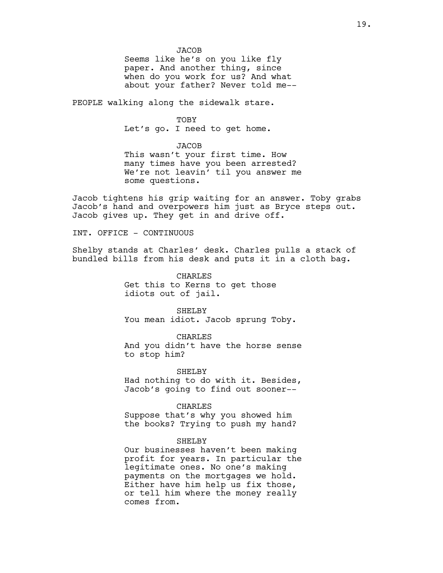JACOB Seems like he's on you like fly paper. And another thing, since when do you work for us? And what about your father? Never told me--

PEOPLE walking along the sidewalk stare.

TOBY Let's go. I need to get home.

**JACOB** This wasn't your first time. How many times have you been arrested? We're not leavin' til you answer me some questions.

Jacob tightens his grip waiting for an answer. Toby grabs Jacob's hand and overpowers him just as Bryce steps out. Jacob gives up. They get in and drive off.

INT. OFFICE - CONTINUOUS

Shelby stands at Charles' desk. Charles pulls a stack of bundled bills from his desk and puts it in a cloth bag.

> CHARLES Get this to Kerns to get those idiots out of jail.

SHELBY You mean idiot. Jacob sprung Toby.

CHARLES And you didn't have the horse sense to stop him?

SHELBY Had nothing to do with it. Besides, Jacob's going to find out sooner--

CHARLES

Suppose that's why you showed him the books? Trying to push my hand?

## SHELBY

Our businesses haven't been making profit for years. In particular the legitimate ones. No one's making payments on the mortgages we hold. Either have him help us fix those, or tell him where the money really comes from.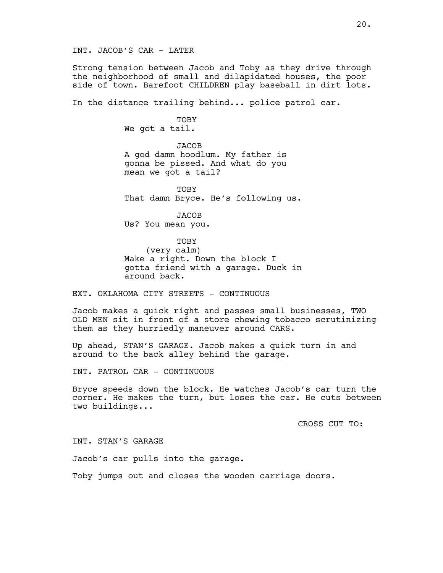INT. JACOB'S CAR - LATER

Strong tension between Jacob and Toby as they drive through the neighborhood of small and dilapidated houses, the poor side of town. Barefoot CHILDREN play baseball in dirt lots.

In the distance trailing behind... police patrol car.

TOBY We got a tail.

**JACOB** A god damn hoodlum. My father is gonna be pissed. And what do you mean we got a tail?

**TOBY** That damn Bryce. He's following us.

JACOB Us? You mean you.

### TOBY

(very calm) Make a right. Down the block I gotta friend with a garage. Duck in around back.

EXT. OKLAHOMA CITY STREETS - CONTINUOUS

Jacob makes a quick right and passes small businesses, TWO OLD MEN sit in front of a store chewing tobacco scrutinizing them as they hurriedly maneuver around CARS.

Up ahead, STAN'S GARAGE. Jacob makes a quick turn in and around to the back alley behind the garage.

INT. PATROL CAR - CONTINUOUS

Bryce speeds down the block. He watches Jacob's car turn the corner. He makes the turn, but loses the car. He cuts between two buildings...

CROSS CUT TO:

INT. STAN'S GARAGE

Jacob's car pulls into the garage.

Toby jumps out and closes the wooden carriage doors.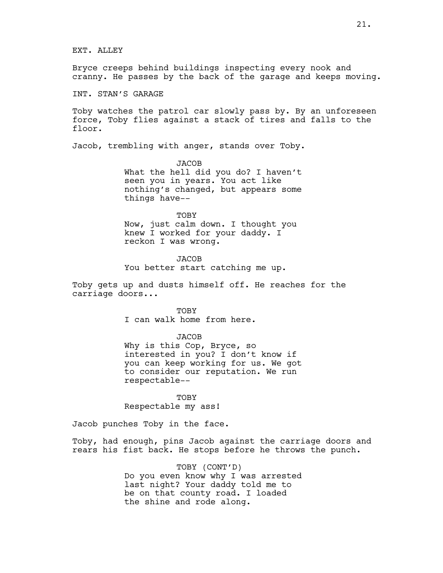EXT. ALLEY

Bryce creeps behind buildings inspecting every nook and cranny. He passes by the back of the garage and keeps moving.

INT. STAN'S GARAGE

Toby watches the patrol car slowly pass by. By an unforeseen force, Toby flies against a stack of tires and falls to the floor.

Jacob, trembling with anger, stands over Toby.

JACOB What the hell did you do? I haven't seen you in years. You act like nothing's changed, but appears some things have--

TOBY Now, just calm down. I thought you knew I worked for your daddy. I reckon I was wrong.

JACOB You better start catching me up.

Toby gets up and dusts himself off. He reaches for the carriage doors...

> TOBY I can walk home from here.

> > JACOB

Why is this Cop, Bryce, so interested in you? I don't know if you can keep working for us. We got to consider our reputation. We run respectable--

TOBY Respectable my ass!

Jacob punches Toby in the face.

Toby, had enough, pins Jacob against the carriage doors and rears his fist back. He stops before he throws the punch.

> TOBY (CONT'D) Do you even know why I was arrested last night? Your daddy told me to be on that county road. I loaded the shine and rode along.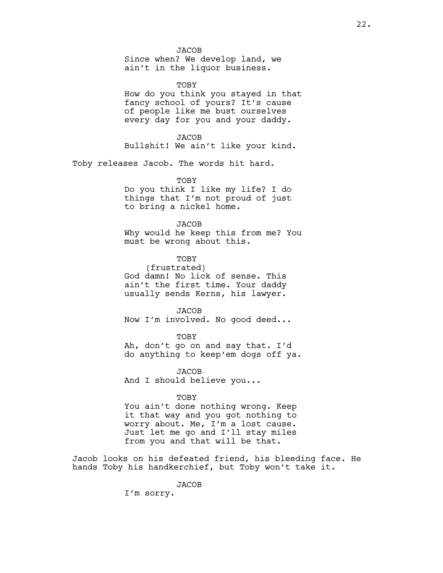JACOB

Since when? We develop land, we ain't in the liquor business.

TOBY How do you think you stayed in that fancy school of yours? It's cause of people like me bust ourselves every day for you and your daddy.

JACOB Bullshit! We ain't like your kind.

Toby releases Jacob. The words hit hard.

TOBY

Do you think I like my life? I do things that I'm not proud of just to bring a nickel home.

### **JACOB**

Why would he keep this from me? You must be wrong about this.

TOBY (frustrated) God damn! No lick of sense. This

ain't the first time. Your daddy usually sends Kerns, his lawyer.

JACOB Now I'm involved. No good deed...

TOBY Ah, don't go on and say that. I'd do anything to keep'em dogs off ya.

JACOB And I should believe you...

## TOBY

You ain't done nothing wrong. Keep it that way and you got nothing to worry about. Me, I'm a lost cause. Just let me go and I'll stay miles from you and that will be that.

Jacob looks on his defeated friend, his bleeding face. He hands Toby his handkerchief, but Toby won't take it.

JACOB

I'm sorry.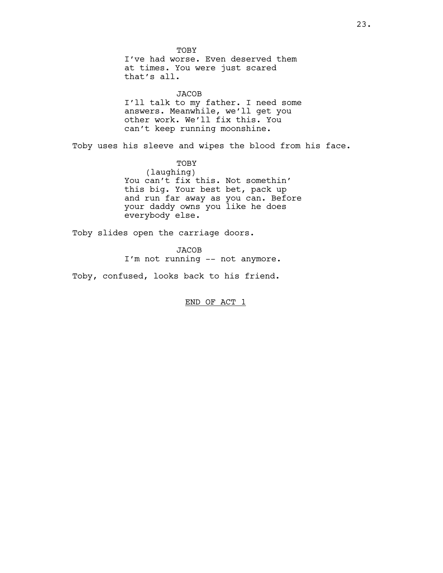TOBY I've had worse. Even deserved them at times. You were just scared that's all. JACOB I'll talk to my father. I need some answers. Meanwhile, we'll get you other work. We'll fix this. You can't keep running moonshine. Toby uses his sleeve and wipes the blood from his face. TOBY (laughing) You can't fix this. Not somethin' this big. Your best bet, pack up and run far away as you can. Before your daddy owns you like he does everybody else. Toby slides open the carriage doors.

> **JACOB** I'm not running -- not anymore.

Toby, confused, looks back to his friend.

END OF ACT 1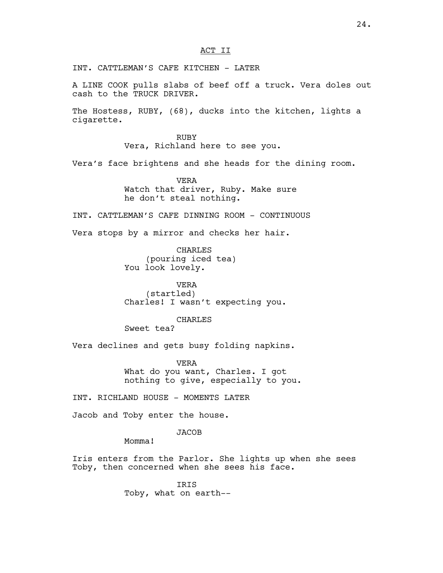INT. CATTLEMAN'S CAFE KITCHEN - LATER

A LINE COOK pulls slabs of beef off a truck. Vera doles out cash to the TRUCK DRIVER.

The Hostess, RUBY, (68), ducks into the kitchen, lights a cigarette.

> RUBY Vera, Richland here to see you.

Vera's face brightens and she heads for the dining room.

VERA Watch that driver, Ruby. Make sure he don't steal nothing.

INT. CATTLEMAN'S CAFE DINNING ROOM - CONTINUOUS

Vera stops by a mirror and checks her hair.

CHARLES (pouring iced tea) You look lovely.

VERA (startled) Charles! I wasn't expecting you.

CHARLES

Sweet tea?

Vera declines and gets busy folding napkins.

VERA What do you want, Charles. I got nothing to give, especially to you.

INT. RICHLAND HOUSE - MOMENTS LATER

Jacob and Toby enter the house.

**JACOB** 

Momma!

Iris enters from the Parlor. She lights up when she sees Toby, then concerned when she sees his face.

> IRIS Toby, what on earth--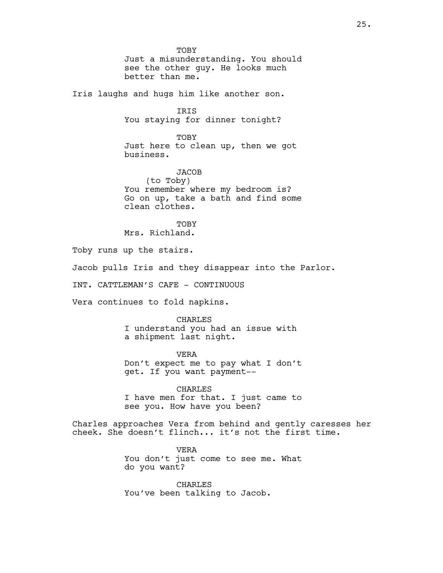TOBY Just a misunderstanding. You should see the other guy. He looks much better than me.

Iris laughs and hugs him like another son.

**TRTS** You staying for dinner tonight?

**TOBY** Just here to clean up, then we got business.

**JACOB** (to Toby) You remember where my bedroom is? Go on up, take a bath and find some clean clothes.

TOBY Mrs. Richland.

Toby runs up the stairs.

Jacob pulls Iris and they disappear into the Parlor.

INT. CATTLEMAN'S CAFE - CONTINUOUS

Vera continues to fold napkins.

### CHARLES

I understand you had an issue with a shipment last night.

VERA Don't expect me to pay what I don't get. If you want payment--

CHARLES I have men for that. I just came to see you. How have you been?

Charles approaches Vera from behind and gently caresses her cheek. She doesn't flinch... it's not the first time.

> VERA You don't just come to see me. What do you want?

CHARLES You've been talking to Jacob.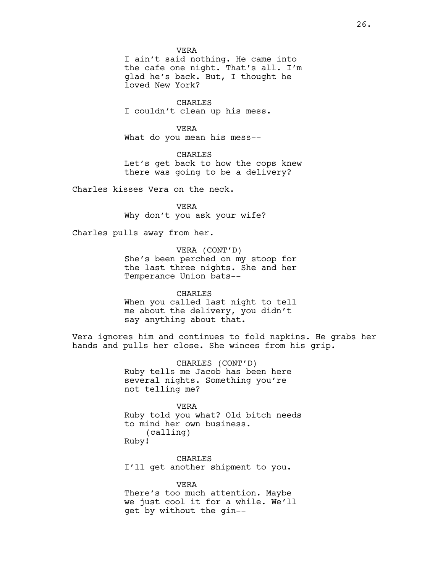VERA

I ain't said nothing. He came into the cafe one night. That's all. I'm glad he's back. But, I thought he loved New York?

CHARLES I couldn't clean up his mess.

VERA What do you mean his mess--

CHARLES Let's get back to how the cops knew there was going to be a delivery?

Charles kisses Vera on the neck.

VERA Why don't you ask your wife?

Charles pulls away from her.

VERA (CONT'D) She's been perched on my stoop for the last three nights. She and her Temperance Union bats--

CHARLES When you called last night to tell me about the delivery, you didn't say anything about that.

Vera ignores him and continues to fold napkins. He grabs her hands and pulls her close. She winces from his grip.

> CHARLES (CONT'D) Ruby tells me Jacob has been here several nights. Something you're not telling me?

VERA Ruby told you what? Old bitch needs to mind her own business. (calling) Ruby!

CHARLES I'll get another shipment to you.

VERA There's too much attention. Maybe we just cool it for a while. We'll get by without the gin--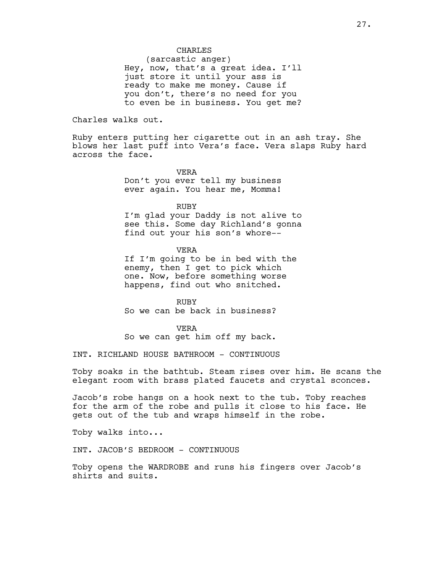## CHARLES

(sarcastic anger) Hey, now, that's a great idea. I'll just store it until your ass is ready to make me money. Cause if you don't, there's no need for you to even be in business. You get me?

Charles walks out.

Ruby enters putting her cigarette out in an ash tray. She blows her last puff into Vera's face. Vera slaps Ruby hard across the face.

> VERA Don't you ever tell my business ever again. You hear me, Momma!

RUBY I'm glad your Daddy is not alive to see this. Some day Richland's gonna find out your his son's whore--

VERA

If I'm going to be in bed with the enemy, then I get to pick which one. Now, before something worse happens, find out who snitched.

RUBY So we can be back in business?

VERA So we can get him off my back.

INT. RICHLAND HOUSE BATHROOM - CONTINUOUS

Toby soaks in the bathtub. Steam rises over him. He scans the elegant room with brass plated faucets and crystal sconces.

Jacob's robe hangs on a hook next to the tub. Toby reaches for the arm of the robe and pulls it close to his face. He gets out of the tub and wraps himself in the robe.

Toby walks into...

INT. JACOB'S BEDROOM - CONTINUOUS

Toby opens the WARDROBE and runs his fingers over Jacob's shirts and suits.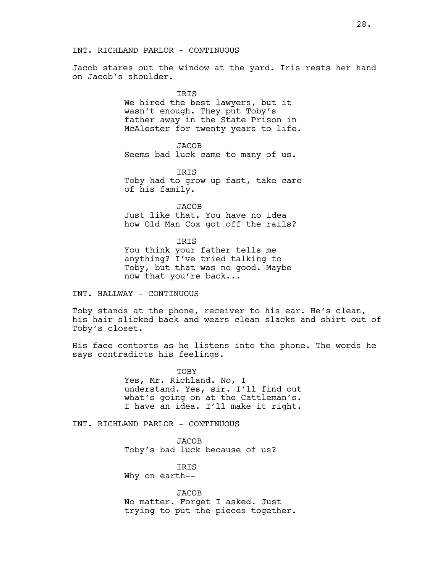## INT. RICHLAND PARLOR - CONTINUOUS

Jacob stares out the window at the yard. Iris rests her hand on Jacob's shoulder.

> **TRTS** We hired the best lawyers, but it wasn't enough. They put Toby's father away in the State Prison in McAlester for twenty years to life.

JACOB Seems bad luck came to many of us.

IRIS Toby had to grow up fast, take care of his family.

**JACOB** Just like that. You have no idea how Old Man Cox got off the rails?

IRIS You think your father tells me anything? I've tried talking to Toby, but that was no good. Maybe now that you're back...

INT. HALLWAY - CONTINUOUS

Toby stands at the phone, receiver to his ear. He's clean, his hair slicked back and wears clean slacks and shirt out of Toby's closet.

His face contorts as he listens into the phone. The words he says contradicts his feelings.

> TOBY Yes, Mr. Richland. No, I understand. Yes, sir. I'll find out what's going on at the Cattleman's. I have an idea. I'll make it right.

INT. RICHLAND PARLOR - CONTINUOUS

JACOB Toby's bad luck because of us?

IRIS Why on earth--

**JACOB** No matter. Forget I asked. Just trying to put the pieces together.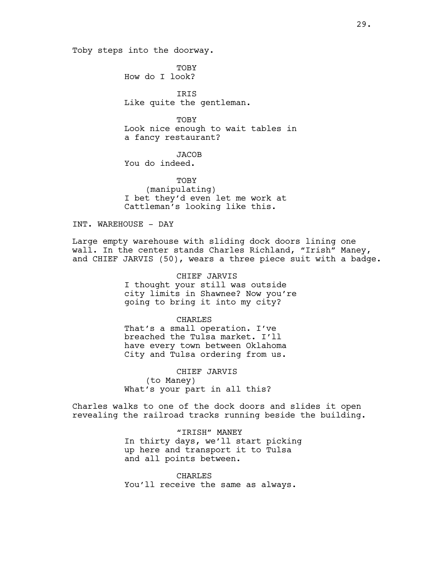Toby steps into the doorway.

TOBY How do I look?

**TRTS** Like quite the gentleman.

TOBY Look nice enough to wait tables in a fancy restaurant?

**JACOB** You do indeed.

TOBY (manipulating) I bet they'd even let me work at Cattleman's looking like this.

INT. WAREHOUSE - DAY

Large empty warehouse with sliding dock doors lining one wall. In the center stands Charles Richland, "Irish" Maney, and CHIEF JARVIS (50), wears a three piece suit with a badge.

> CHIEF JARVIS I thought your still was outside city limits in Shawnee? Now you're going to bring it into my city?

CHARLES That's a small operation. I've breached the Tulsa market. I'll have every town between Oklahoma City and Tulsa ordering from us.

CHIEF JARVIS (to Maney) What's your part in all this?

Charles walks to one of the dock doors and slides it open revealing the railroad tracks running beside the building.

> "IRISH" MANEY In thirty days, we'll start picking up here and transport it to Tulsa and all points between.

CHARLES You'll receive the same as always.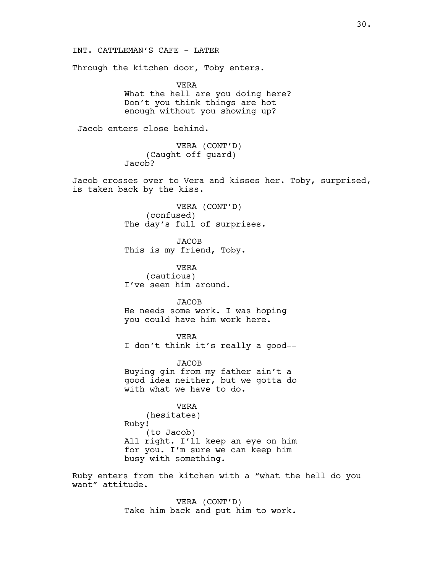INT. CATTLEMAN'S CAFE - LATER

Through the kitchen door, Toby enters.

VERA What the hell are you doing here? Don't you think things are hot enough without you showing up?

Jacob enters close behind.

VERA (CONT'D) (Caught off guard) Jacob?

Jacob crosses over to Vera and kisses her. Toby, surprised, is taken back by the kiss.

> VERA (CONT'D) (confused) The day's full of surprises.

JACOB This is my friend, Toby.

VERA (cautious) I've seen him around.

**JACOB** He needs some work. I was hoping you could have him work here.

VERA I don't think it's really a good--

JACOB Buying gin from my father ain't a good idea neither, but we gotta do with what we have to do.

VERA (hesitates) Ruby! (to Jacob) All right. I'll keep an eye on him for you. I'm sure we can keep him busy with something.

Ruby enters from the kitchen with a "what the hell do you want" attitude.

> VERA (CONT'D) Take him back and put him to work.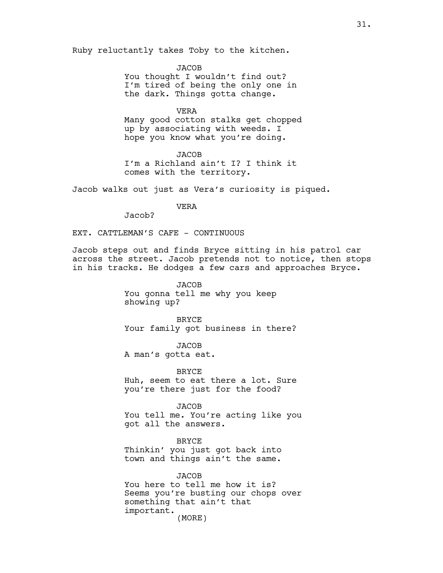Ruby reluctantly takes Toby to the kitchen.

JACOB You thought I wouldn't find out? I'm tired of being the only one in the dark. Things gotta change.

VERA Many good cotton stalks get chopped up by associating with weeds. I hope you know what you're doing.

**JACOB** I'm a Richland ain't I? I think it comes with the territory.

Jacob walks out just as Vera's curiosity is piqued.

VERA

Jacob?

EXT. CATTLEMAN'S CAFE - CONTINUOUS

Jacob steps out and finds Bryce sitting in his patrol car across the street. Jacob pretends not to notice, then stops in his tracks. He dodges a few cars and approaches Bryce.

> JACOB You gonna tell me why you keep showing up?

BRYCE Your family got business in there?

**JACOB** A man's gotta eat.

BRYCE Huh, seem to eat there a lot. Sure you're there just for the food?

JACOB

You tell me. You're acting like you got all the answers.

BRYCE Thinkin' you just got back into town and things ain't the same.

JACOB You here to tell me how it is? Seems you're busting our chops over something that ain't that important. (MORE)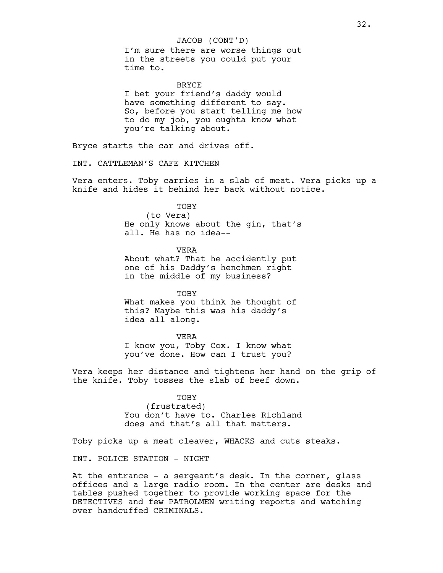## JACOB (CONT'D)

I'm sure there are worse things out in the streets you could put your time to.

**BRYCE** I bet your friend's daddy would have something different to say. So, before you start telling me how to do my job, you oughta know what you're talking about.

Bryce starts the car and drives off.

INT. CATTLEMAN'S CAFE KITCHEN

Vera enters. Toby carries in a slab of meat. Vera picks up a knife and hides it behind her back without notice.

# **TOBY**

(to Vera) He only knows about the gin, that's all. He has no idea--

VERA

About what? That he accidently put one of his Daddy's henchmen right in the middle of my business?

**TOBY** What makes you think he thought of this? Maybe this was his daddy's idea all along.

VERA I know you, Toby Cox. I know what you've done. How can I trust you?

Vera keeps her distance and tightens her hand on the grip of the knife. Toby tosses the slab of beef down.

# TOBY

(frustrated) You don't have to. Charles Richland does and that's all that matters.

Toby picks up a meat cleaver, WHACKS and cuts steaks.

INT. POLICE STATION - NIGHT

At the entrance - a sergeant's desk. In the corner, glass offices and a large radio room. In the center are desks and tables pushed together to provide working space for the DETECTIVES and few PATROLMEN writing reports and watching over handcuffed CRIMINALS.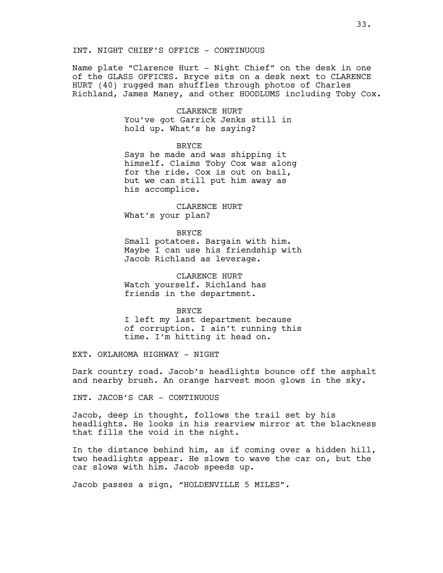## INT. NIGHT CHIEF'S OFFICE - CONTINUOUS

Name plate "Clarence Hurt - Night Chief" on the desk in one of the GLASS OFFICES. Bryce sits on a desk next to CLARENCE HURT (40) rugged man shuffles through photos of Charles Richland, James Maney, and other HOODLUMS including Toby Cox.

> CLARENCE HURT You've got Garrick Jenks still in hold up. What's he saying?

> > BRYCE

Says he made and was shipping it himself. Claims Toby Cox was along for the ride. Cox is out on bail, but we can still put him away as his accomplice.

CLARENCE HURT What's your plan?

### BRYCE

Small potatoes. Bargain with him. Maybe I can use his friendship with Jacob Richland as leverage.

CLARENCE HURT Watch yourself. Richland has friends in the department.

#### BRYCE

I left my last department because of corruption. I ain't running this time. I'm hitting it head on.

EXT. OKLAHOMA HIGHWAY - NIGHT

Dark country road. Jacob's headlights bounce off the asphalt and nearby brush. An orange harvest moon glows in the sky.

INT. JACOB'S CAR - CONTINUOUS

Jacob, deep in thought, follows the trail set by his headlights. He looks in his rearview mirror at the blackness that fills the void in the night.

In the distance behind him, as if coming over a hidden hill, two headlights appear. He slows to wave the car on, but the car slows with him. Jacob speeds up.

Jacob passes a sign, "HOLDENVILLE 5 MILES".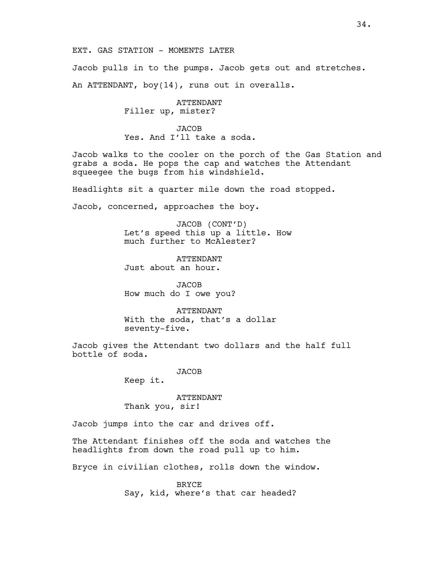EXT. GAS STATION - MOMENTS LATER

Jacob pulls in to the pumps. Jacob gets out and stretches. An ATTENDANT, boy(14), runs out in overalls.

> ATTENDANT Filler up, mister?

**JACOB** Yes. And I'll take a soda.

Jacob walks to the cooler on the porch of the Gas Station and grabs a soda. He pops the cap and watches the Attendant squeegee the bugs from his windshield.

Headlights sit a quarter mile down the road stopped.

Jacob, concerned, approaches the boy.

JACOB (CONT'D) Let's speed this up a little. How much further to McAlester?

ATTENDANT Just about an hour.

JACOB How much do I owe you?

ATTENDANT With the soda, that's a dollar seventy-five.

Jacob gives the Attendant two dollars and the half full bottle of soda.

JACOB

Keep it.

ATTENDANT Thank you, sir!

Jacob jumps into the car and drives off.

The Attendant finishes off the soda and watches the headlights from down the road pull up to him.

Bryce in civilian clothes, rolls down the window.

BRYCE Say, kid, where's that car headed?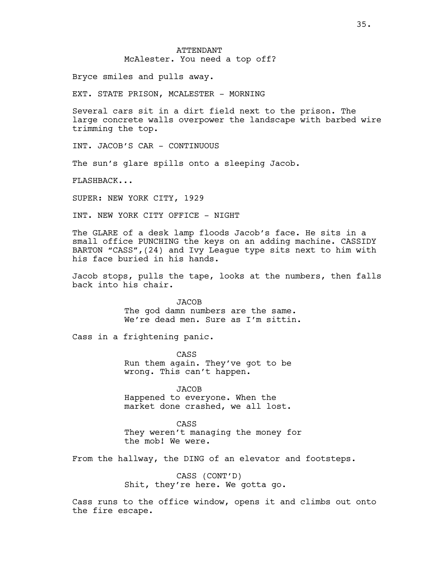# ATTENDANT McAlester. You need a top off?

Bryce smiles and pulls away.

EXT. STATE PRISON, MCALESTER - MORNING

Several cars sit in a dirt field next to the prison. The large concrete walls overpower the landscape with barbed wire trimming the top.

INT. JACOB'S CAR - CONTINUOUS

The sun's glare spills onto a sleeping Jacob.

FLASHBACK...

SUPER: NEW YORK CITY, 1929

INT. NEW YORK CITY OFFICE - NIGHT

The GLARE of a desk lamp floods Jacob's face. He sits in a small office PUNCHING the keys on an adding machine. CASSIDY BARTON "CASS",(24) and Ivy League type sits next to him with his face buried in his hands.

Jacob stops, pulls the tape, looks at the numbers, then falls back into his chair.

> **JACOB** The god damn numbers are the same. We're dead men. Sure as I'm sittin.

Cass in a frightening panic.

CASS Run them again. They've got to be wrong. This can't happen.

JACOB Happened to everyone. When the market done crashed, we all lost.

CASS They weren't managing the money for the mob! We were.

From the hallway, the DING of an elevator and footsteps.

CASS (CONT'D) Shit, they're here. We gotta go.

Cass runs to the office window, opens it and climbs out onto the fire escape.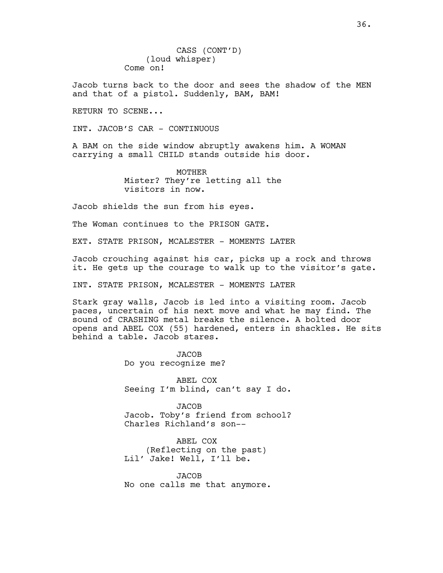CASS (CONT'D) (loud whisper) Come on!

Jacob turns back to the door and sees the shadow of the MEN and that of a pistol. Suddenly, BAM, BAM!

RETURN TO SCENE...

INT. JACOB'S CAR - CONTINUOUS

A BAM on the side window abruptly awakens him. A WOMAN carrying a small CHILD stands outside his door.

> MOTHER Mister? They're letting all the visitors in now.

Jacob shields the sun from his eyes.

The Woman continues to the PRISON GATE.

EXT. STATE PRISON, MCALESTER - MOMENTS LATER

Jacob crouching against his car, picks up a rock and throws it. He gets up the courage to walk up to the visitor's gate.

INT. STATE PRISON, MCALESTER - MOMENTS LATER

Stark gray walls, Jacob is led into a visiting room. Jacob paces, uncertain of his next move and what he may find. The sound of CRASHING metal breaks the silence. A bolted door opens and ABEL COX (55) hardened, enters in shackles. He sits behind a table. Jacob stares.

> **JACOB** Do you recognize me?

ABEL COX Seeing I'm blind, can't say I do.

JACOB Jacob. Toby's friend from school? Charles Richland's son--

ABEL COX (Reflecting on the past) Lil' Jake! Well, I'll be.

JACOB No one calls me that anymore.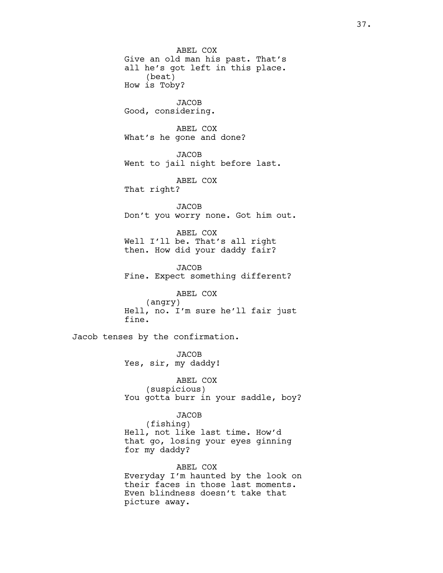ABEL COX Give an old man his past. That's all he's got left in this place. (beat) How is Toby? JACOB Good, considering. ABEL COX What's he gone and done? **JACOB** Went to jail night before last. ABEL COX That right? **JACOB** Don't you worry none. Got him out. ABEL COX Well I'll be. That's all right then. How did your daddy fair? **JACOB** Fine. Expect something different? ABEL COX (angry) Hell, no. I'm sure he'll fair just fine. Jacob tenses by the confirmation. JACOB Yes, sir, my daddy! ABEL COX (suspicious) You gotta burr in your saddle, boy? **JACOB** (fishing) Hell, not like last time. How'd that go, losing your eyes ginning

> ABEL COX Everyday I'm haunted by the look on their faces in those last moments. Even blindness doesn't take that picture away.

for my daddy?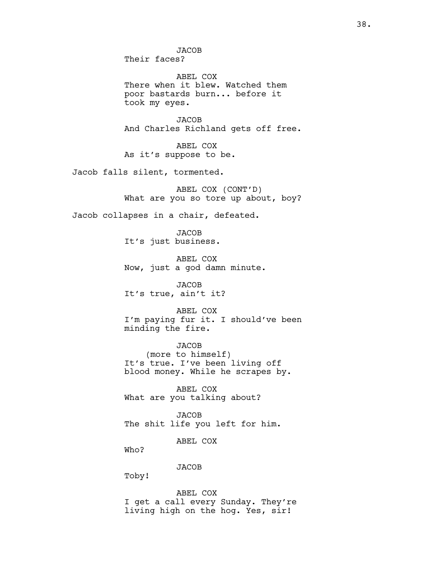JACOB Their faces? ABEL COX There when it blew. Watched them poor bastards burn... before it took my eyes. JACOB And Charles Richland gets off free. ABEL COX As it's suppose to be. Jacob falls silent, tormented. ABEL COX (CONT'D) What are you so tore up about, boy? Jacob collapses in a chair, defeated. **JACOB** It's just business. ABEL COX Now, just a god damn minute. **JACOB** It's true, ain't it? ABEL COX I'm paying fur it. I should've been minding the fire. JACOB (more to himself) It's true. I've been living off blood money. While he scrapes by. ABEL COX What are you talking about? **JACOB** The shit life you left for him. ABEL COX Who? JACOB Toby! ABEL COX

I get a call every Sunday. They're living high on the hog. Yes, sir!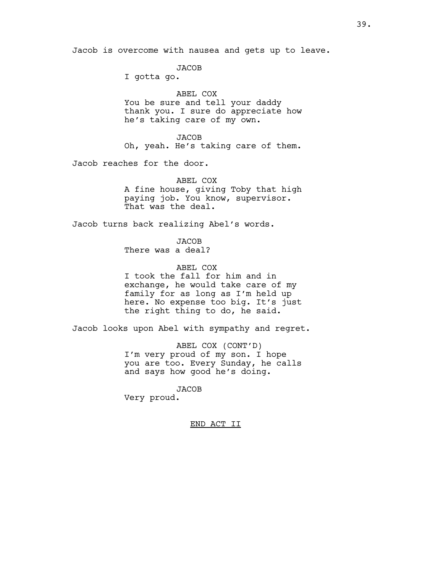Jacob is overcome with nausea and gets up to leave.

JACOB

I gotta go.

ABEL COX You be sure and tell your daddy thank you. I sure do appreciate how he's taking care of my own.

JACOB Oh, yeah. He's taking care of them.

Jacob reaches for the door.

ABEL COX A fine house, giving Toby that high paying job. You know, supervisor. That was the deal.

Jacob turns back realizing Abel's words.

JACOB There was a deal?

ABEL COX I took the fall for him and in exchange, he would take care of my family for as long as I'm held up here. No expense too big. It's just the right thing to do, he said.

Jacob looks upon Abel with sympathy and regret.

ABEL COX (CONT'D) I'm very proud of my son. I hope you are too. Every Sunday, he calls and says how good he's doing.

JACOB Very proud.

#### END ACT II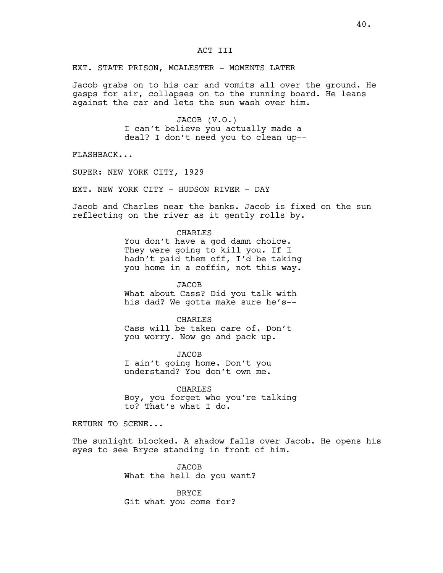EXT. STATE PRISON, MCALESTER - MOMENTS LATER

Jacob grabs on to his car and vomits all over the ground. He gasps for air, collapses on to the running board. He leans against the car and lets the sun wash over him.

> JACOB (V.O.) I can't believe you actually made a deal? I don't need you to clean up--

FLASHBACK...

SUPER: NEW YORK CITY, 1929

EXT. NEW YORK CITY - HUDSON RIVER - DAY

Jacob and Charles near the banks. Jacob is fixed on the sun reflecting on the river as it gently rolls by.

## CHARLES

You don't have a god damn choice. They were going to kill you. If I hadn't paid them off, I'd be taking you home in a coffin, not this way.

JACOB What about Cass? Did you talk with his dad? We gotta make sure he's--

#### CHARLES

Cass will be taken care of. Don't you worry. Now go and pack up.

**JACOB** I ain't going home. Don't you understand? You don't own me.

CHARLES Boy, you forget who you're talking to? That's what I do.

RETURN TO SCENE...

The sunlight blocked. A shadow falls over Jacob. He opens his eyes to see Bryce standing in front of him.

> JACOB What the hell do you want?

BRYCE Git what you come for?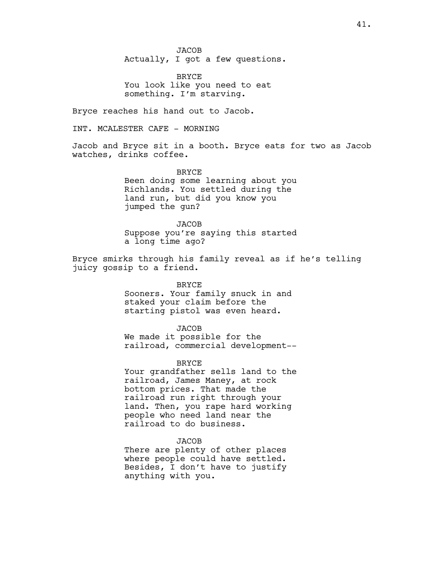JACOB Actually, I got a few questions.

BRYCE You look like you need to eat something. I'm starving.

Bryce reaches his hand out to Jacob.

INT. MCALESTER CAFE - MORNING

Jacob and Bryce sit in a booth. Bryce eats for two as Jacob watches, drinks coffee.

> BRYCE Been doing some learning about you Richlands. You settled during the land run, but did you know you jumped the gun?

> **JACOB** Suppose you're saying this started a long time ago?

Bryce smirks through his family reveal as if he's telling juicy gossip to a friend.

**BRYCE** 

Sooners. Your family snuck in and staked your claim before the starting pistol was even heard.

JACOB We made it possible for the railroad, commercial development--

BRYCE

Your grandfather sells land to the railroad, James Maney, at rock bottom prices. That made the railroad run right through your land. Then, you rape hard working people who need land near the railroad to do business.

## JACOB

There are plenty of other places where people could have settled. Besides, I don't have to justify anything with you.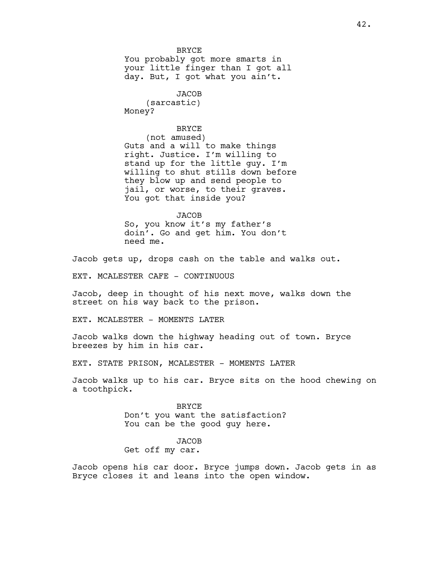BRYCE You probably got more smarts in your little finger than I got all day. But, I got what you ain't.

JACOB (sarcastic) Money?

## **BRYCE**

(not amused) Guts and a will to make things right. Justice. I'm willing to stand up for the little guy. I'm willing to shut stills down before they blow up and send people to jail, or worse, to their graves. You got that inside you?

**JACOB** So, you know it's my father's doin'. Go and get him. You don't need me.

Jacob gets up, drops cash on the table and walks out.

EXT. MCALESTER CAFE - CONTINUOUS

Jacob, deep in thought of his next move, walks down the street on his way back to the prison.

EXT. MCALESTER - MOMENTS LATER

Jacob walks down the highway heading out of town. Bryce breezes by him in his car.

EXT. STATE PRISON, MCALESTER - MOMENTS LATER

Jacob walks up to his car. Bryce sits on the hood chewing on a toothpick.

> BRYCE Don't you want the satisfaction? You can be the good guy here.

## JACOB

Get off my car.

Jacob opens his car door. Bryce jumps down. Jacob gets in as Bryce closes it and leans into the open window.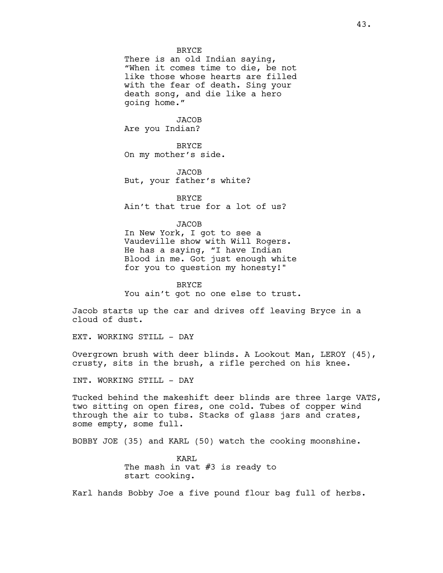#### BRYCE

There is an old Indian saying, "When it comes time to die, be not like those whose hearts are filled with the fear of death. Sing your death song, and die like a hero going home."

JACOB Are you Indian?

BRYCE On my mother's side.

JACOB But, your father's white?

BRYCE Ain't that true for a lot of us?

**JACOB** 

In New York, I got to see a Vaudeville show with Will Rogers. He has a saying, "I have Indian Blood in me. Got just enough white for you to question my honesty!"

BRYCE You ain't got no one else to trust.

Jacob starts up the car and drives off leaving Bryce in a cloud of dust.

EXT. WORKING STILL - DAY

Overgrown brush with deer blinds. A Lookout Man, LEROY (45), crusty, sits in the brush, a rifle perched on his knee.

INT. WORKING STILL - DAY

Tucked behind the makeshift deer blinds are three large VATS, two sitting on open fires, one cold. Tubes of copper wind through the air to tubs. Stacks of glass jars and crates, some empty, some full.

BOBBY JOE (35) and KARL (50) watch the cooking moonshine.

KARL The mash in vat #3 is ready to start cooking.

Karl hands Bobby Joe a five pound flour bag full of herbs.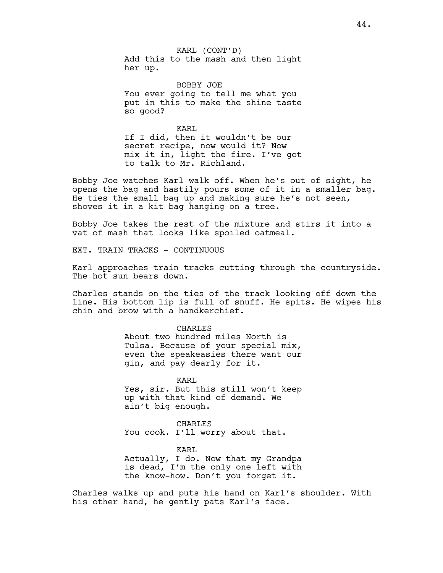KARL (CONT'D) Add this to the mash and then light her up.

BOBBY JOE You ever going to tell me what you put in this to make the shine taste so good?

KARL If I did, then it wouldn't be our secret recipe, now would it? Now mix it in, light the fire. I've got to talk to Mr. Richland.

Bobby Joe watches Karl walk off. When he's out of sight, he opens the bag and hastily pours some of it in a smaller bag. He ties the small bag up and making sure he's not seen, shoves it in a kit bag hanging on a tree.

Bobby Joe takes the rest of the mixture and stirs it into a vat of mash that looks like spoiled oatmeal.

EXT. TRAIN TRACKS - CONTINUOUS

Karl approaches train tracks cutting through the countryside. The hot sun bears down.

Charles stands on the ties of the track looking off down the line. His bottom lip is full of snuff. He spits. He wipes his chin and brow with a handkerchief.

> CHARLES About two hundred miles North is Tulsa. Because of your special mix, even the speakeasies there want our gin, and pay dearly for it.

> KARL Yes, sir. But this still won't keep up with that kind of demand. We ain't big enough.

CHARLES You cook. I'll worry about that.

KARL Actually, I do. Now that my Grandpa is dead, I'm the only one left with the know-how. Don't you forget it.

Charles walks up and puts his hand on Karl's shoulder. With his other hand, he gently pats Karl's face.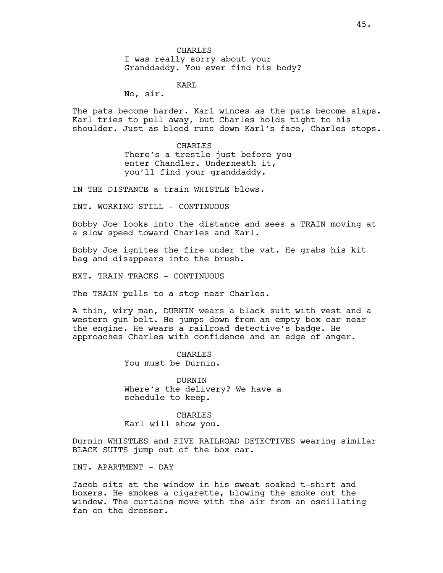CHARLES I was really sorry about your Granddaddy. You ever find his body?

KARL

No, sir.

The pats become harder. Karl winces as the pats become slaps. Karl tries to pull away, but Charles holds tight to his shoulder. Just as blood runs down Karl's face, Charles stops.

> CHARLES There's a trestle just before you enter Chandler. Underneath it, you'll find your granddaddy.

IN THE DISTANCE a train WHISTLE blows.

INT. WORKING STILL - CONTINUOUS

Bobby Joe looks into the distance and sees a TRAIN moving at a slow speed toward Charles and Karl.

Bobby Joe ignites the fire under the vat. He grabs his kit bag and disappears into the brush.

EXT. TRAIN TRACKS - CONTINUOUS

The TRAIN pulls to a stop near Charles.

A thin, wiry man, DURNIN wears a black suit with vest and a western gun belt. He jumps down from an empty box car near the engine. He wears a railroad detective's badge. He approaches Charles with confidence and an edge of anger.

> **CHARLES** You must be Durnin.

DURNIN Where's the delivery? We have a schedule to keep.

CHARLES Karl will show you.

Durnin WHISTLES and FIVE RAILROAD DETECTIVES wearing similar BLACK SUITS jump out of the box car.

INT. APARTMENT - DAY

Jacob sits at the window in his sweat soaked t-shirt and boxers. He smokes a cigarette, blowing the smoke out the window. The curtains move with the air from an oscillating fan on the dresser.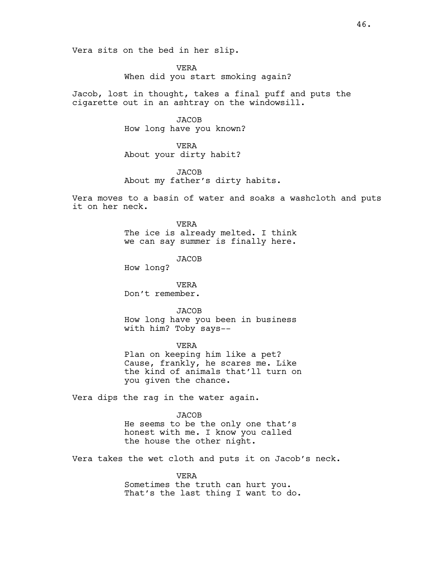Vera sits on the bed in her slip.

VERA When did you start smoking again?

Jacob, lost in thought, takes a final puff and puts the cigarette out in an ashtray on the windowsill.

> **JACOB** How long have you known?

VERA About your dirty habit?

**JACOB** About my father's dirty habits.

Vera moves to a basin of water and soaks a washcloth and puts it on her neck.

> VERA The ice is already melted. I think we can say summer is finally here.

> > JACOB

How long?

VERA Don't remember.

**JACOB** How long have you been in business with him? Toby says--

VERA Plan on keeping him like a pet? Cause, frankly, he scares me. Like the kind of animals that'll turn on you given the chance.

Vera dips the rag in the water again.

JACOB He seems to be the only one that's

honest with me. I know you called the house the other night.

Vera takes the wet cloth and puts it on Jacob's neck.

VERA Sometimes the truth can hurt you. That's the last thing I want to do.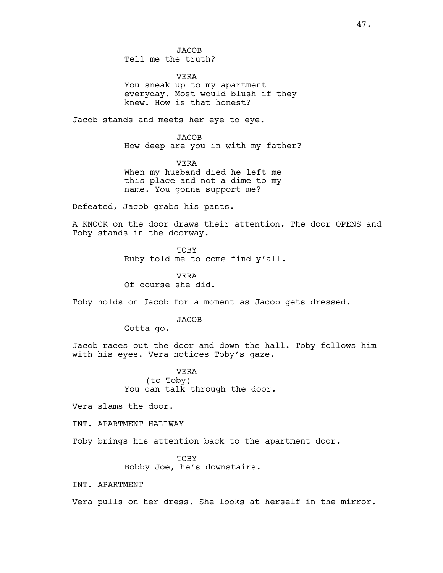**JACOB** Tell me the truth?

VERA You sneak up to my apartment everyday. Most would blush if they knew. How is that honest?

Jacob stands and meets her eye to eye.

JACOB How deep are you in with my father?

VERA When my husband died he left me this place and not a dime to my name. You gonna support me?

Defeated, Jacob grabs his pants.

A KNOCK on the door draws their attention. The door OPENS and Toby stands in the doorway.

> TOBY Ruby told me to come find y'all.

VERA Of course she did.

Toby holds on Jacob for a moment as Jacob gets dressed.

JACOB

Gotta go.

Jacob races out the door and down the hall. Toby follows him with his eyes. Vera notices Toby's gaze.

> VERA (to Toby) You can talk through the door.

Vera slams the door.

INT. APARTMENT HALLWAY

Toby brings his attention back to the apartment door.

TOBY Bobby Joe, he's downstairs.

INT. APARTMENT

Vera pulls on her dress. She looks at herself in the mirror.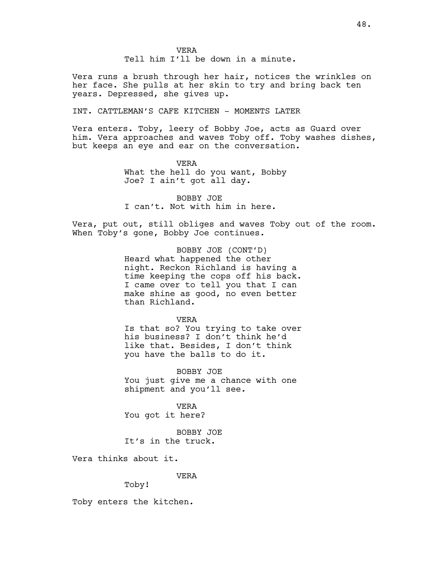Vera runs a brush through her hair, notices the wrinkles on her face. She pulls at her skin to try and bring back ten years. Depressed, she gives up.

# INT. CATTLEMAN'S CAFE KITCHEN - MOMENTS LATER

Vera enters. Toby, leery of Bobby Joe, acts as Guard over him. Vera approaches and waves Toby off. Toby washes dishes, but keeps an eye and ear on the conversation.

> VERA What the hell do you want, Bobby Joe? I ain't got all day.

BOBBY JOE I can't. Not with him in here.

Vera, put out, still obliges and waves Toby out of the room. When Toby's gone, Bobby Joe continues.

> BOBBY JOE (CONT'D) Heard what happened the other night. Reckon Richland is having a time keeping the cops off his back. I came over to tell you that I can make shine as good, no even better than Richland.

> > VERA

Is that so? You trying to take over his business? I don't think he'd like that. Besides, I don't think you have the balls to do it.

BOBBY JOE You just give me a chance with one shipment and you'll see.

VERA You got it here?

BOBBY JOE It's in the truck.

Vera thinks about it.

VERA

Toby!

Toby enters the kitchen.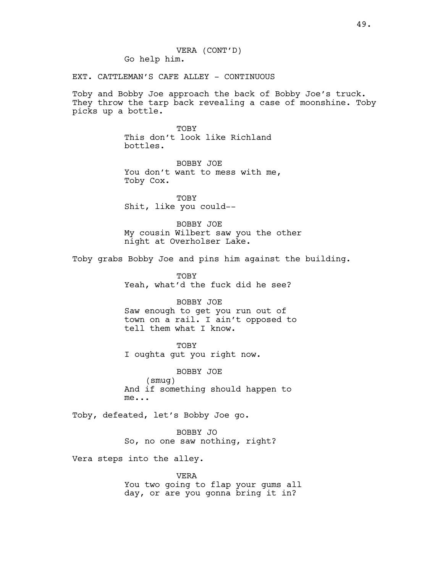VERA (CONT'D) Go help him.

EXT. CATTLEMAN'S CAFE ALLEY - CONTINUOUS

Toby and Bobby Joe approach the back of Bobby Joe's truck. They throw the tarp back revealing a case of moonshine. Toby picks up a bottle.

> TOBY This don't look like Richland bottles.

BOBBY JOE You don't want to mess with me, Toby Cox.

TOBY Shit, like you could--

BOBBY JOE My cousin Wilbert saw you the other night at Overholser Lake.

Toby grabs Bobby Joe and pins him against the building.

TOBY Yeah, what'd the fuck did he see?

BOBBY JOE Saw enough to get you run out of town on a rail. I ain't opposed to tell them what I know.

TOBY I oughta gut you right now.

BOBBY JOE (smug) And if something should happen to me...

Toby, defeated, let's Bobby Joe go.

BOBBY JO So, no one saw nothing, right?

Vera steps into the alley.

VERA You two going to flap your gums all day, or are you gonna bring it in?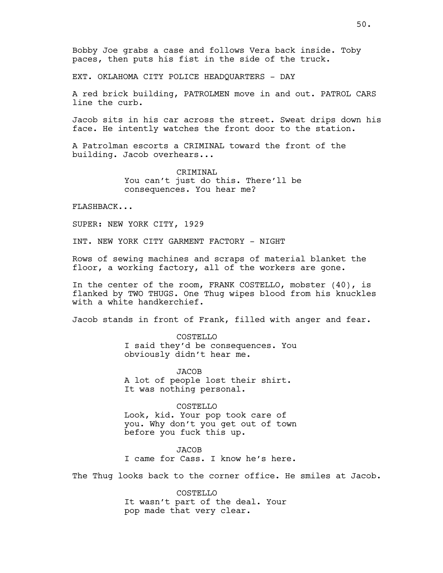EXT. OKLAHOMA CITY POLICE HEADQUARTERS - DAY

A red brick building, PATROLMEN move in and out. PATROL CARS line the curb.

Jacob sits in his car across the street. Sweat drips down his face. He intently watches the front door to the station.

A Patrolman escorts a CRIMINAL toward the front of the building. Jacob overhears...

> CRIMINAL You can't just do this. There'll be consequences. You hear me?

FLASHBACK...

SUPER: NEW YORK CITY, 1929

INT. NEW YORK CITY GARMENT FACTORY - NIGHT

Rows of sewing machines and scraps of material blanket the floor, a working factory, all of the workers are gone.

In the center of the room, FRANK COSTELLO, mobster (40), is flanked by TWO THUGS. One Thug wipes blood from his knuckles with a white handkerchief.

Jacob stands in front of Frank, filled with anger and fear.

COSTELLO I said they'd be consequences. You obviously didn't hear me.

JACOB A lot of people lost their shirt. It was nothing personal.

COSTELLO Look, kid. Your pop took care of you. Why don't you get out of town before you fuck this up.

JACOB I came for Cass. I know he's here.

The Thug looks back to the corner office. He smiles at Jacob.

COSTELLO It wasn't part of the deal. Your pop made that very clear.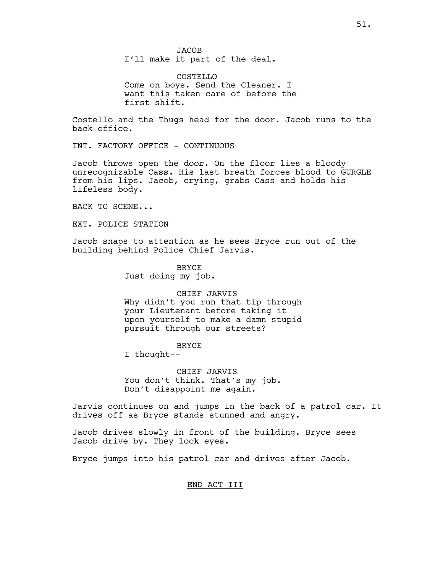JACOB I'll make it part of the deal.

COSTELLO Come on boys. Send the Cleaner. I want this taken care of before the first shift.

Costello and the Thugs head for the door. Jacob runs to the back office.

INT. FACTORY OFFICE - CONTINUOUS

Jacob throws open the door. On the floor lies a bloody unrecognizable Cass. His last breath forces blood to GURGLE from his lips. Jacob, crying, grabs Cass and holds his lifeless body.

BACK TO SCENE...

EXT. POLICE STATION

Jacob snaps to attention as he sees Bryce run out of the building behind Police Chief Jarvis.

> BRYCE Just doing my job.

CHIEF JARVIS Why didn't you run that tip through your Lieutenant before taking it upon yourself to make a damn stupid pursuit through our streets?

BRYCE

I thought--

CHIEF JARVIS You don't think. That's my job. Don't disappoint me again.

Jarvis continues on and jumps in the back of a patrol car. It drives off as Bryce stands stunned and angry.

Jacob drives slowly in front of the building. Bryce sees Jacob drive by. They lock eyes.

Bryce jumps into his patrol car and drives after Jacob.

## END ACT III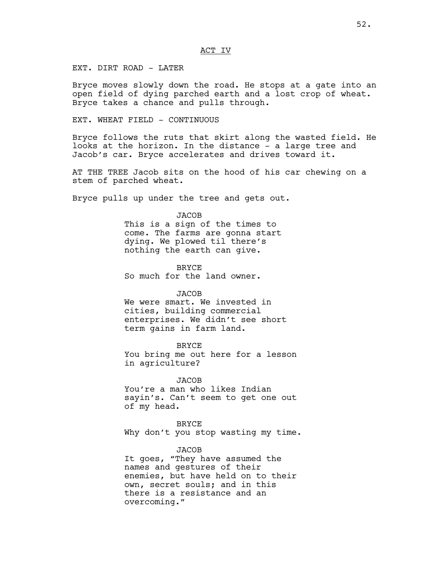EXT. DIRT ROAD - LATER

Bryce moves slowly down the road. He stops at a gate into an open field of dying parched earth and a lost crop of wheat. Bryce takes a chance and pulls through.

EXT. WHEAT FIELD - CONTINUOUS

Bryce follows the ruts that skirt along the wasted field. He looks at the horizon. In the distance - a large tree and Jacob's car. Bryce accelerates and drives toward it.

AT THE TREE Jacob sits on the hood of his car chewing on a stem of parched wheat.

Bryce pulls up under the tree and gets out.

#### JACOB

This is a sign of the times to come. The farms are gonna start dying. We plowed til there's nothing the earth can give.

BRYCE So much for the land owner.

### **JACOB**

We were smart. We invested in cities, building commercial enterprises. We didn't see short term gains in farm land.

BRYCE You bring me out here for a lesson in agriculture?

JACOB You're a man who likes Indian sayin's. Can't seem to get one out of my head.

BRYCE Why don't you stop wasting my time.

## JACOB

It goes, "They have assumed the names and gestures of their enemies, but have held on to their own, secret souls; and in this there is a resistance and an overcoming."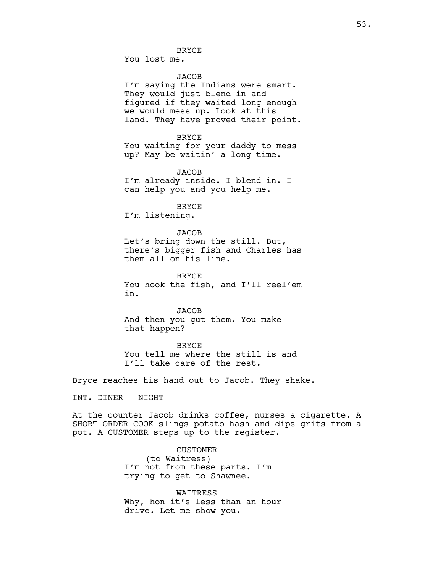### BRYCE

You lost me.

# JACOB

I'm saying the Indians were smart. They would just blend in and figured if they waited long enough we would mess up. Look at this land. They have proved their point.

BRYCE You waiting for your daddy to mess up? May be waitin' a long time.

**JACOB** I'm already inside. I blend in. I can help you and you help me.

BRYCE

I'm listening.

**JACOB** Let's bring down the still. But, there's bigger fish and Charles has them all on his line.

**BRYCE** You hook the fish, and I'll reel'em in.

**JACOB** And then you gut them. You make that happen?

**BRYCE** 

You tell me where the still is and I'll take care of the rest.

Bryce reaches his hand out to Jacob. They shake.

INT. DINER - NIGHT

At the counter Jacob drinks coffee, nurses a cigarette. A SHORT ORDER COOK slings potato hash and dips grits from a pot. A CUSTOMER steps up to the register.

> CUSTOMER (to Waitress) I'm not from these parts. I'm trying to get to Shawnee.

WAITRESS Why, hon it's less than an hour drive. Let me show you.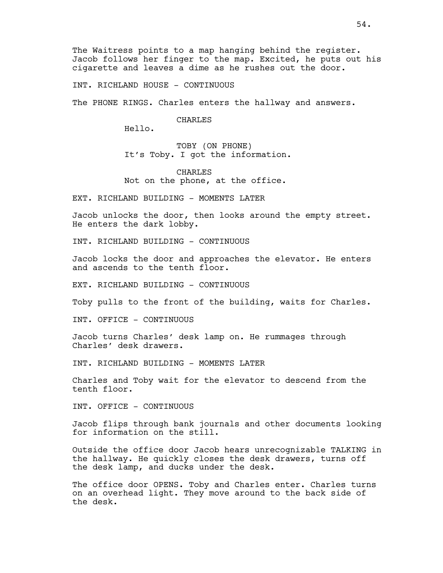The Waitress points to a map hanging behind the register. Jacob follows her finger to the map. Excited, he puts out his cigarette and leaves a dime as he rushes out the door.

INT. RICHLAND HOUSE - CONTINUOUS

The PHONE RINGS. Charles enters the hallway and answers.

CHARLES

Hello.

TOBY (ON PHONE) It's Toby. I got the information.

CHARLES Not on the phone, at the office.

EXT. RICHLAND BUILDING - MOMENTS LATER

Jacob unlocks the door, then looks around the empty street. He enters the dark lobby.

INT. RICHLAND BUILDING - CONTINUOUS

Jacob locks the door and approaches the elevator. He enters and ascends to the tenth floor.

EXT. RICHLAND BUILDING - CONTINUOUS

Toby pulls to the front of the building, waits for Charles.

INT. OFFICE - CONTINUOUS

Jacob turns Charles' desk lamp on. He rummages through Charles' desk drawers.

INT. RICHLAND BUILDING - MOMENTS LATER

Charles and Toby wait for the elevator to descend from the tenth floor.

INT. OFFICE - CONTINUOUS

Jacob flips through bank journals and other documents looking for information on the still.

Outside the office door Jacob hears unrecognizable TALKING in the hallway. He quickly closes the desk drawers, turns off the desk lamp, and ducks under the desk.

The office door OPENS. Toby and Charles enter. Charles turns on an overhead light. They move around to the back side of the desk.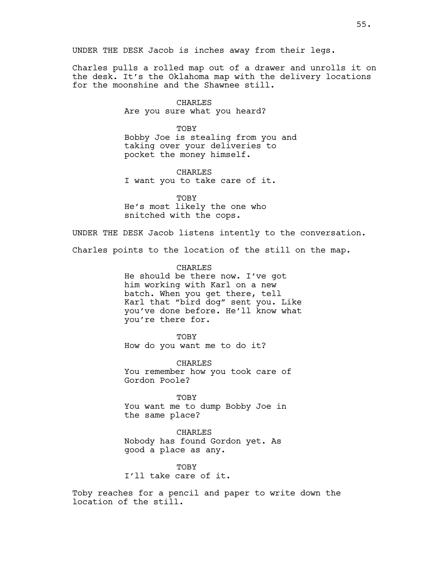UNDER THE DESK Jacob is inches away from their legs.

Charles pulls a rolled map out of a drawer and unrolls it on the desk. It's the Oklahoma map with the delivery locations for the moonshine and the Shawnee still.

> CHARLES Are you sure what you heard?

TOBY Bobby Joe is stealing from you and taking over your deliveries to pocket the money himself.

CHARLES I want you to take care of it.

TOBY He's most likely the one who snitched with the cops.

UNDER THE DESK Jacob listens intently to the conversation.

Charles points to the location of the still on the map.

CHARLES He should be there now. I've got him working with Karl on a new batch. When you get there, tell Karl that "bird dog" sent you. Like you've done before. He'll know what you're there for.

TOBY How do you want me to do it?

CHARLES You remember how you took care of Gordon Poole?

TOBY You want me to dump Bobby Joe in the same place?

CHARLES Nobody has found Gordon yet. As good a place as any.

TOBY I'll take care of it.

Toby reaches for a pencil and paper to write down the location of the still.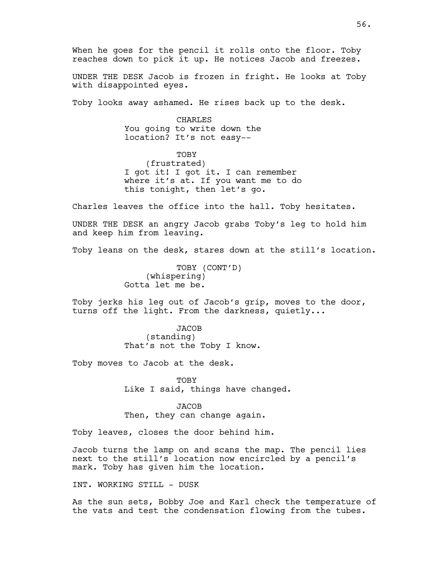When he goes for the pencil it rolls onto the floor. Toby reaches down to pick it up. He notices Jacob and freezes.

UNDER THE DESK Jacob is frozen in fright. He looks at Toby with disappointed eyes.

Toby looks away ashamed. He rises back up to the desk.

CHARLES You going to write down the location? It's not easy--

TOBY (frustrated) I got it! I got it. I can remember where it's at. If you want me to do this tonight, then let's go.

Charles leaves the office into the hall. Toby hesitates.

UNDER THE DESK an angry Jacob grabs Toby's leg to hold him and keep him from leaving.

Toby leans on the desk, stares down at the still's location.

TOBY (CONT'D) (whispering) Gotta let me be.

Toby jerks his leg out of Jacob's grip, moves to the door, turns off the light. From the darkness, quietly...

> JACOB (standing) That's not the Toby I know.

Toby moves to Jacob at the desk.

TOBY Like I said, things have changed.

JACOB Then, they can change again.

Toby leaves, closes the door behind him.

Jacob turns the lamp on and scans the map. The pencil lies next to the still's location now encircled by a pencil's mark. Toby has given him the location.

INT. WORKING STILL - DUSK

As the sun sets, Bobby Joe and Karl check the temperature of the vats and test the condensation flowing from the tubes.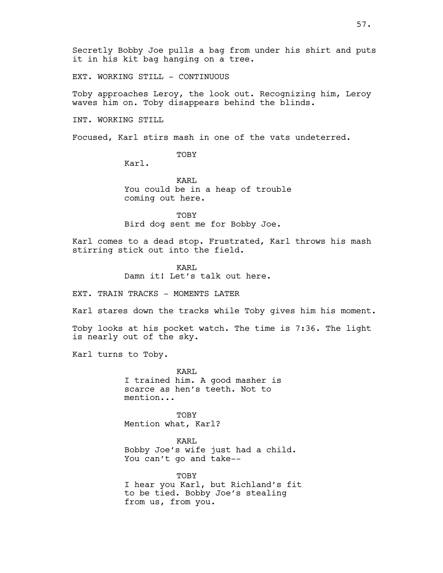EXT. WORKING STILL - CONTINUOUS

Toby approaches Leroy, the look out. Recognizing him, Leroy waves him on. Toby disappears behind the blinds.

INT. WORKING STILL

Focused, Karl stirs mash in one of the vats undeterred.

TOBY

Karl.

KARL You could be in a heap of trouble coming out here.

TOBY Bird dog sent me for Bobby Joe.

Karl comes to a dead stop. Frustrated, Karl throws his mash stirring stick out into the field.

> KARL Damn it! Let's talk out here.

EXT. TRAIN TRACKS - MOMENTS LATER

Karl stares down the tracks while Toby gives him his moment.

Toby looks at his pocket watch. The time is 7:36. The light is nearly out of the sky.

Karl turns to Toby.

KARL I trained him. A good masher is scarce as hen's teeth. Not to mention...

TOBY Mention what, Karl?

KARL Bobby Joe's wife just had a child. You can't go and take--

**TOBY** I hear you Karl, but Richland's fit to be tied. Bobby Joe's stealing from us, from you.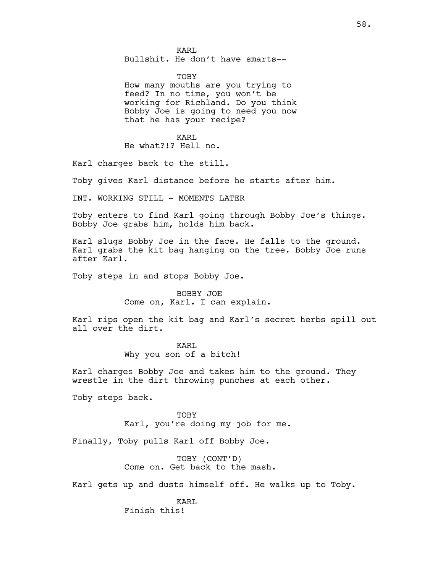KARL Bullshit. He don't have smarts--

TOBY How many mouths are you trying to feed? In no time, you won't be working for Richland. Do you think Bobby Joe is going to need you now that he has your recipe?

KARL He what?!? Hell no.

Karl charges back to the still.

Toby gives Karl distance before he starts after him.

INT. WORKING STILL - MOMENTS LATER

Toby enters to find Karl going through Bobby Joe's things. Bobby Joe grabs him, holds him back.

Karl slugs Bobby Joe in the face. He falls to the ground. Karl grabs the kit bag hanging on the tree. Bobby Joe runs after Karl.

Toby steps in and stops Bobby Joe.

BOBBY JOE Come on, Karl. I can explain.

Karl rips open the kit bag and Karl's secret herbs spill out all over the dirt.

KARL

Why you son of a bitch!

Karl charges Bobby Joe and takes him to the ground. They wrestle in the dirt throwing punches at each other.

Toby steps back.

TOBY Karl, you're doing my job for me.

Finally, Toby pulls Karl off Bobby Joe.

TOBY (CONT'D) Come on. Get back to the mash.

Karl gets up and dusts himself off. He walks up to Toby.

KARL Finish this!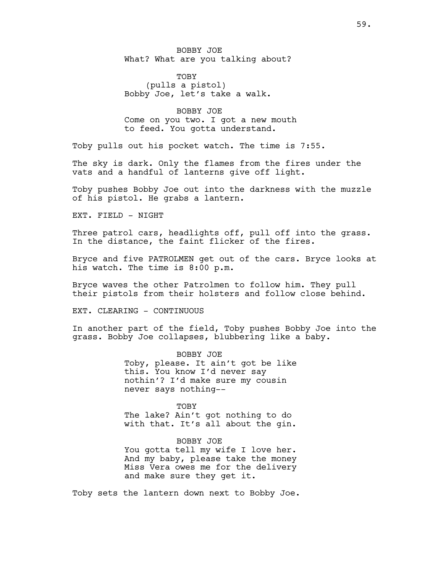BOBBY JOE What? What are you talking about?

TOBY (pulls a pistol) Bobby Joe, let's take a walk.

BOBBY JOE Come on you two. I got a new mouth to feed. You gotta understand.

Toby pulls out his pocket watch. The time is 7:55.

The sky is dark. Only the flames from the fires under the vats and a handful of lanterns give off light.

Toby pushes Bobby Joe out into the darkness with the muzzle of his pistol. He grabs a lantern.

EXT. FIELD - NIGHT

Three patrol cars, headlights off, pull off into the grass. In the distance, the faint flicker of the fires.

Bryce and five PATROLMEN get out of the cars. Bryce looks at his watch. The time is 8:00 p.m.

Bryce waves the other Patrolmen to follow him. They pull their pistols from their holsters and follow close behind.

EXT. CLEARING - CONTINUOUS

In another part of the field, Toby pushes Bobby Joe into the grass. Bobby Joe collapses, blubbering like a baby.

> BOBBY JOE Toby, please. It ain't got be like this. You know I'd never say nothin'? I'd make sure my cousin never says nothing--

> TOBY The lake? Ain't got nothing to do with that. It's all about the gin.

> BOBBY JOE You gotta tell my wife I love her. And my baby, please take the money Miss Vera owes me for the delivery and make sure they get it.

Toby sets the lantern down next to Bobby Joe.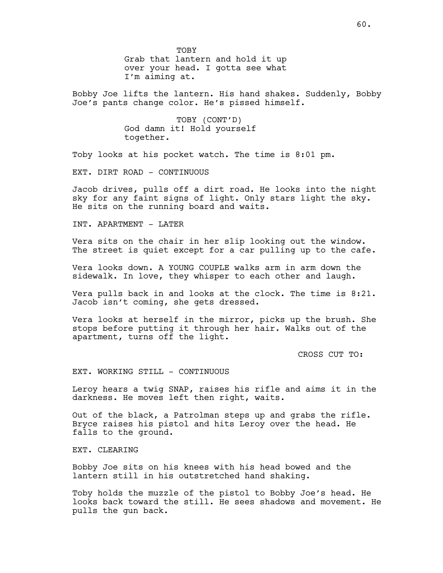TOBY

Grab that lantern and hold it up over your head. I gotta see what I'm aiming at.

Bobby Joe lifts the lantern. His hand shakes. Suddenly, Bobby Joe's pants change color. He's pissed himself.

> TOBY (CONT'D) God damn it! Hold yourself together.

Toby looks at his pocket watch. The time is 8:01 pm.

EXT. DIRT ROAD - CONTINUOUS

Jacob drives, pulls off a dirt road. He looks into the night sky for any faint signs of light. Only stars light the sky. He sits on the running board and waits.

INT. APARTMENT - LATER

Vera sits on the chair in her slip looking out the window. The street is quiet except for a car pulling up to the cafe.

Vera looks down. A YOUNG COUPLE walks arm in arm down the sidewalk. In love, they whisper to each other and laugh.

Vera pulls back in and looks at the clock. The time is 8:21. Jacob isn't coming, she gets dressed.

Vera looks at herself in the mirror, picks up the brush. She stops before putting it through her hair. Walks out of the apartment, turns off the light.

CROSS CUT TO:

EXT. WORKING STILL - CONTINUOUS

Leroy hears a twig SNAP, raises his rifle and aims it in the darkness. He moves left then right, waits.

Out of the black, a Patrolman steps up and grabs the rifle. Bryce raises his pistol and hits Leroy over the head. He falls to the ground.

EXT. CLEARING

Bobby Joe sits on his knees with his head bowed and the lantern still in his outstretched hand shaking.

Toby holds the muzzle of the pistol to Bobby Joe's head. He looks back toward the still. He sees shadows and movement. He pulls the gun back.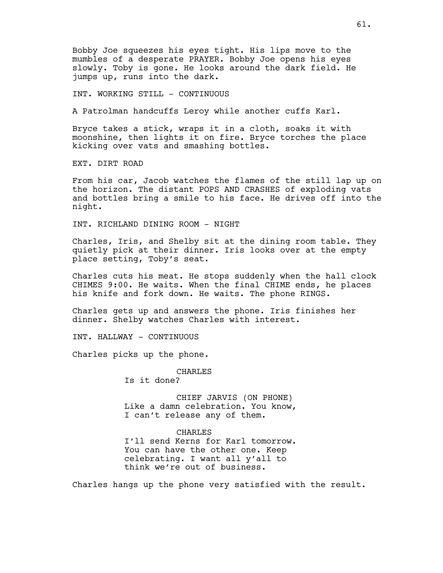Bobby Joe squeezes his eyes tight. His lips move to the mumbles of a desperate PRAYER. Bobby Joe opens his eyes slowly. Toby is gone. He looks around the dark field. He jumps up, runs into the dark.

INT. WORKING STILL - CONTINUOUS

A Patrolman handcuffs Leroy while another cuffs Karl.

Bryce takes a stick, wraps it in a cloth, soaks it with moonshine, then lights it on fire. Bryce torches the place kicking over vats and smashing bottles.

EXT. DIRT ROAD

From his car, Jacob watches the flames of the still lap up on the horizon. The distant POPS AND CRASHES of exploding vats and bottles bring a smile to his face. He drives off into the night.

INT. RICHLAND DINING ROOM - NIGHT

Charles, Iris, and Shelby sit at the dining room table. They quietly pick at their dinner. Iris looks over at the empty place setting, Toby's seat.

Charles cuts his meat. He stops suddenly when the hall clock CHIMES 9:00. He waits. When the final CHIME ends, he places his knife and fork down. He waits. The phone RINGS.

Charles gets up and answers the phone. Iris finishes her dinner. Shelby watches Charles with interest.

INT. HALLWAY - CONTINUOUS

Charles picks up the phone.

CHARLES Is it done?

CHIEF JARVIS (ON PHONE) Like a damn celebration. You know, I can't release any of them.

CHARLES I'll send Kerns for Karl tomorrow. You can have the other one. Keep celebrating. I want all y'all to think we're out of business.

Charles hangs up the phone very satisfied with the result.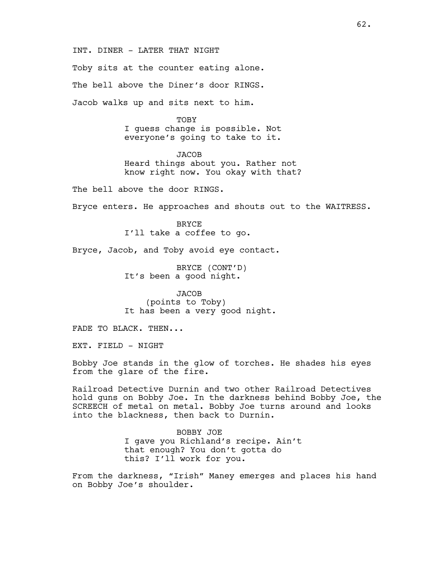INT. DINER - LATER THAT NIGHT

Toby sits at the counter eating alone.

The bell above the Diner's door RINGS.

Jacob walks up and sits next to him.

TOBY I guess change is possible. Not everyone's going to take to it.

**JACOB** Heard things about you. Rather not know right now. You okay with that?

The bell above the door RINGS.

Bryce enters. He approaches and shouts out to the WAITRESS.

BRYCE I'll take a coffee to go.

Bryce, Jacob, and Toby avoid eye contact.

BRYCE (CONT'D) It's been a good night.

**JACOB** (points to Toby) It has been a very good night.

FADE TO BLACK. THEN...

EXT. FIELD - NIGHT

Bobby Joe stands in the glow of torches. He shades his eyes from the glare of the fire.

Railroad Detective Durnin and two other Railroad Detectives hold guns on Bobby Joe. In the darkness behind Bobby Joe, the SCREECH of metal on metal. Bobby Joe turns around and looks into the blackness, then back to Durnin.

> BOBBY JOE I gave you Richland's recipe. Ain't that enough? You don't gotta do this? I'll work for you.

From the darkness, "Irish" Maney emerges and places his hand on Bobby Joe's shoulder.